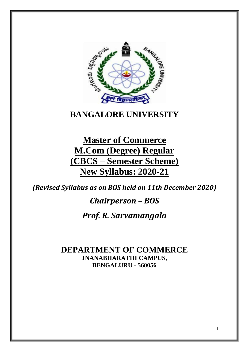

# **BANGALORE UNIVERSITY**

**Master of Commerce M.Com (Degree) Regular (CBCS – Semester Scheme) New Syllabus: 2020-21**

*(Revised Syllabus as on BOS held on 11th December 2020)*

## *Chairperson – BOS*

## *Prof. R. Sarvamangala*

**DEPARTMENT OF COMMERCE JNANABHARATHI CAMPUS, BENGALURU - 560056**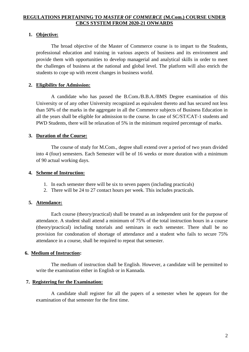#### **REGULATIONS PERTAINING TO** *MASTER OF COMMERCE* **(M.Com.) COURSE UNDER CBCS SYSTEM FROM 2020-21 ONWARDS**

#### **1. Objective:**

The broad objective of the Master of Commerce course is to impart to the Students, professional education and training in various aspects of business and its environment and provide them with opportunities to develop managerial and analytical skills in order to meet the challenges of business at the national and global level. The platform will also enrich the students to cope up with recent changes in business world.

### **2. Eligibility for Admission:**

A candidate who has passed the B.Com./B.B.A./BMS Degree examination of this University or of any other University recognized as equivalent thereto and has secured not less than 50% of the marks in the aggregate in all the Commerce subjects of Business Education in all the years shall be eligible for admission to the course. In case of SC/ST/CAT-1 students and PWD Students, there will be relaxation of 5% in the minimum required percentage of marks.

### **3. Duration of the Course:**

The course of study for M.Com., degree shall extend over a period of two years divided into 4 (four) semesters. Each Semester will be of 16 weeks or more duration with a minimum of 90 actual working days.

#### **4. Scheme of Instruction:**

- 1. In each semester there will be six to seven papers (including practicals)
- 2. There will be 24 to 27 contact hours per week. This includes practicals.

### **5. Attendance:**

Each course (theory/practical) shall be treated as an independent unit for the purpose of attendance. A student shall attend a minimum of 75% of the total instruction hours in a course (theory/practical) including tutorials and seminars in each semester. There shall be no provision for condonation of shortage of attendance and a student who fails to secure 75% attendance in a course, shall be required to repeat that semester.

### **6. Medium of Instruction:**

The medium of instruction shall be English. However, a candidate will be permitted to write the examination either in English or in Kannada.

### **7. Registering for the Examination:**

A candidate shall register for all the papers of a semester when he appears for the examination of that semester for the first time.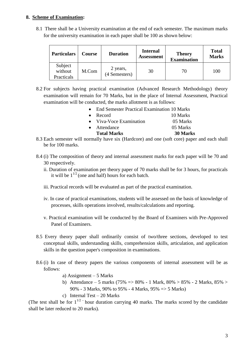### **8. Scheme of Examination:**

8.1 There shall be a University examination at the end of each semester. The maximum marks for the university examination in each paper shall be 100 as shown below:

| <b>Particulars</b>               | <b>Course</b> | <b>Duration</b>           | <b>Internal</b><br><b>Assessment</b> | <b>Theory</b><br><b>Examination</b> | <b>Total</b><br><b>Marks</b> |  |
|----------------------------------|---------------|---------------------------|--------------------------------------|-------------------------------------|------------------------------|--|
| Subject<br>without<br>Practicals | M.Com         | 2 years,<br>(4 Semesters) | 30                                   | 70                                  | 100                          |  |

8.2 For subjects having practical examination (Advanced Research Methodology) theory examination will remain for 70 Marks, but in the place of Internal Assessment, Practical examination will be conducted, the marks allotment is as follows:

| $\bullet$ | End Semester Practical Examination 10 Marks |          |
|-----------|---------------------------------------------|----------|
| $\bullet$ | Record                                      | 10 Marks |
|           | • Viva-Voce Examination                     | 05 Marks |
| $\bullet$ | Attendance                                  | 05 Marks |
|           | <b>Total Marks</b>                          | 30 Marks |
|           |                                             |          |

- 8.3 Each semester will normally have six (Hardcore) and one (soft core) paper and each shall be for 100 marks.
- 8.4 (i) The composition of theory and internal assessment marks for each paper will be 70 and 30 respectively.
	- ii. Duration of examination per theory paper of 70 marks shall be for 3 hours, for practicals it will be  $1^{1/2}$  (one and half) hours for each batch.
	- iii. Practical records will be evaluated as part of the practical examination.
	- iv. In case of practical examinations, students will be assessed on the basis of knowledge of processes, skills operations involved, results/calculations and reporting.
	- v. Practical examination will be conducted by the Board of Examiners with Pre-Approved Panel of Examiners.
- 8.5 Every theory paper shall ordinarily consist of two/three sections, developed to test conceptual skills, understanding skills, comprehension skills, articulation, and application skills in the question paper's composition in examinations.
- 8.6 (i) In case of theory papers the various components of internal assessment will be as follows:
	- a) Assignment 5 Marks
	- b) Attendance 5 marks (75% =  $> 80\%$  1 Mark, 80%  $> 85\%$  2 Marks, 85%  $>$ 90% - 3 Marks, 90% to 95% - 4 Marks, 95% => 5 Marks)
	- c) Internal Test 20 Marks

(The test shall be for  $1^{1/2}$  hour duration carrying 40 marks. The marks scored by the candidate shall be later reduced to 20 marks).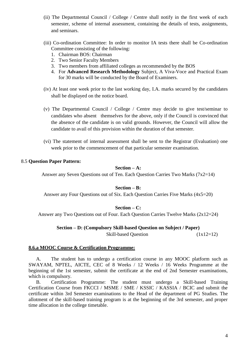- (ii) The Departmental Council / College / Centre shall notify in the first week of each semester, scheme of internal assessment, containing the details of tests, assignments, and seminars.
- (iii) Co-ordination Committee: In order to monitor IA tests there shall be Co-ordination Committee consisting of the following:
	- 1. Chairman BOS: Chairman
	- 2. Two Senior Faculty Members
	- 3. Two members from affiliated colleges as recommended by the BOS
	- 4. For **Advanced Research Methodology** Subject, A Viva-Voce and Practical Exam for 30 marks will be conducted by the Board of Examiners.
- (iv) At least one week prior to the last working day, I.A. marks secured by the candidates shall be displayed on the notice board.
- (v) The Departmental Council / College / Centre may decide to give test/seminar to candidates who absent themselves for the above, only if the Council is convinced that the absence of the candidate is on valid grounds. However, the Council will allow the candidate to avail of this provision within the duration of that semester.
- (vi) The statement of internal assessment shall be sent to the Registrar (Evaluation) one week prior to the commencement of that particular semester examination.

#### 8.5 **Question Paper Pattern:**

### **Section – A:**

Answer any Seven Questions out of Ten. Each Question Carries Two Marks (7x2=14)

#### **Section – B:**

Answer any Four Questions out of Six. Each Question Carries Five Marks (4x5=20)

#### **Section – C:**

Answer any Two Questions out of Four. Each Question Carries Twelve Marks (2x12=24)

### **Section – D: (Compulsory Skill-based Question on Subject / Paper)**

Skill-based Question (1x12=12)

#### **8.6.a MOOC Course & Certification Programme:**

A. The student has to undergo a certification course in any MOOC platform such as SWAYAM, NPTEL, AICTE, CEC of 8 Weeks / 12 Weeks / 16 Weeks Programme at the beginning of the 1st semester, submit the certificate at the end of 2nd Semester examinations, which is compulsory.

B. Certification Programme: The student must undergo a Skill-based Training Certification Course from FKCCI / MSME / SME / KSSIC / KASSIA / BCIC and submit the certificate within 3rd Semester examinations to the Head of the department of PG Studies. The allotment of the skill-based training program is at the beginning of the 3rd semester, and proper time allocation in the college timetable.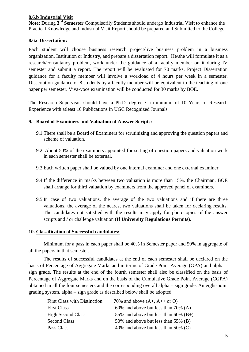#### **8.6.b Industrial Visit**

**Note:** During **3 rd Semester** Compulsorily Students should undergo Industrial Visit to enhance the Practical Knowledge and Industrial Visit Report should be prepared and Submitted to the College.

#### **8.6.c Dissertation:**

Each student will choose business research project/live business problem in a business organization, Institution or Industry, and prepare a dissertation report. He/she will formulate it as a research/consultancy problem, work under the guidance of a faculty member on it during IV semester and submit a report. The report will be evaluated for 70 marks. Project Dissertation guidance for a faculty member will involve a workload of 4 hours per week in a semester. Dissertation guidance of 8 students by a faculty member will be equivalent to the teaching of one paper per semester. Viva-voce examination will be conducted for 30 marks by BOE.

The Research Supervisor should have a Ph.D. degree / a minimum of 10 Years of Research Experience with atleast 10 Publications in UGC Recognized Journals.

#### **9. Board of Examiners and Valuation of Answer Scripts:**

- 9.1 There shall be a Board of Examiners for scrutinizing and approving the question papers and scheme of valuation.
- 9.2 About 50% of the examiners appointed for setting of question papers and valuation work in each semester shall be external.
- 9.3 Each written paper shall be valued by one internal examiner and one external examiner.
- 9.4 If the difference in marks between two valuation is more than 15%, the Chairman, BOE shall arrange for third valuation by examiners from the approved panel of examiners.
- 9.5 In case of two valuations, the average of the two valuations and if there are three valuations, the average of the nearest two valuations shall be taken for declaring results. The candidates not satisfied with the results may apply for photocopies of the answer scripts and / or challenge valuation (**If University Regulations Permits**).

#### **10. Classification of Successful candidates:**

Minimum for a pass in each paper shall be 40% in Semester paper and 50% in aggregate of all the papers in that semester.

The results of successful candidates at the end of each semester shall be declared on the basis of Percentage of Aggregate Marks and in terms of Grade Point Average (GPA) and alpha – sign grade. The results at the end of the fourth semester shall also be classified on the basis of Percentage of Aggregate Marks and on the basis of the Cumulative Grade Point Average (CGPA) obtained in all the four semesters and the corresponding overall alpha – sign grade. An eight-point grading system, alpha – sign grade as described below shall be adopted.

| <b>First Class with Distinction</b> | 70% and above $(A+, A++$ or O)         |
|-------------------------------------|----------------------------------------|
| <b>First Class</b>                  | 60% and above but less than $70\%$ (A) |
| <b>High Second Class</b>            | 55% and above but less than 60% $(B+)$ |
| <b>Second Class</b>                 | 50% and above but less than 55% (B)    |
| Pass Class                          | 40% and above but less than 50% $(C)$  |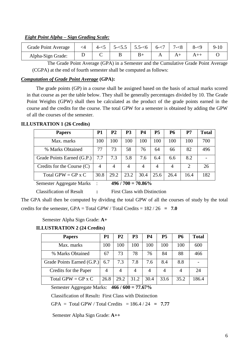### *Eight Point Alpha – Sign Grading Scale:*

| <b>Grade Point Average</b> | $\leq$ 4 | $4 - 5$ 1 | $\vert$ 5- $\lt$ 5.5 $\vert$ 5.5- $\lt$ 6 $\vert$ 6- $\lt$ 7 $\vert$ 7 | $7 - 8$ | $8 - 9$ | $9-10$ |
|----------------------------|----------|-----------|------------------------------------------------------------------------|---------|---------|--------|
| Alpha-Sign Grade:          |          |           |                                                                        |         |         |        |

The Grade Point Average (GPA) in a Semester and the Cumulative Grade Point Average (CGPA) at the end of fourth semester shall be computed as follows:

### *Computation of Grade Point Average* **(GPA):**

The grade points (GP) in a course shall be assigned based on the basis of actual marks scored in that course as per the table below. They shall be generally percentages divided by 10. The Grade Point Weights (GPW) shall then be calculated as the product of the grade points earned in the course and the credits for the course. The total GPW for a semester is obtained by adding the GPW of all the courses of the semester.

### **ILLUSTRATION 1 (26 Credits)**

| <b>Papers</b>                | P1   | P2   | P <sub>3</sub> | P4          | P5   | <b>P6</b> | P7   | <b>Total</b> |
|------------------------------|------|------|----------------|-------------|------|-----------|------|--------------|
| Max. marks                   | 100  | 100  | 100            | 100         | 100  | 100       | 100  | 700          |
| % Marks Obtained             |      | 73   | 58             | 76          | 64   | 66        | 82   | 496          |
| Grade Points Earned (G.P.)   | 7.7  | 7.3  | 5.8            | 7.6         | 6.4  | 6.6       | 8.2  |              |
| Credits for the Course $(C)$ | 4    | 4    | 4              | 4           | 4    |           | 2    | 26           |
| Total GPW = GP x C           | 30.8 | 29.2 | 23.2           | 30.4        | 25.6 | 26.4      | 16.4 | 182          |
|                              |      | 1011 |                | - ^ ^ ^ ^ ^ |      |           |      |              |

Semester Aggregate Marks : **496 / 700 = 70.86%**

Classification of Result **:** First Class with Distinction

The GPA shall then be computed by dividing the total GPW of all the courses of study by the total credits for the semester, GPA = Total GPW / Total Credits =  $182 / 26 = 7.0$ 

Semester Alpha Sign Grade: **A+**

### **ILLUSTRATION 2 (24 Credits)**

| <b>Papers</b>              | <b>P1</b> | P <sub>2</sub> | P <sub>3</sub> | <b>P4</b> | P <sub>5</sub> | <b>P6</b> | <b>Total</b> |
|----------------------------|-----------|----------------|----------------|-----------|----------------|-----------|--------------|
| Max. marks                 | 100       | 100            | 100            | 100       | 100            | 100       | 600          |
| % Marks Obtained           | 67        | 73             | 78             | 76        | 84             | 88        | 466          |
| Grade Points Earned (G.P.) | 6.7       | 7.3            | 7.8            | 7.6       | 8.4            | 8.8       |              |
| Credits for the Paper      | 4         |                | 4              | 4         |                | 4         | 24           |
| Total GPW = GP $x C$       | 26.8      | 29.2           | 31.2           | 30.4      | 33.6           | 35.2      | 186.4        |

Semester Aggregate Marks: **466 / 600 = 77.67%**

Classification of Result**:** First Class with Distinction

 $GPA = Total GPW / Total Credits = 186.4 / 24 = 7.77$ 

Semester Alpha Sign Grade: **A++**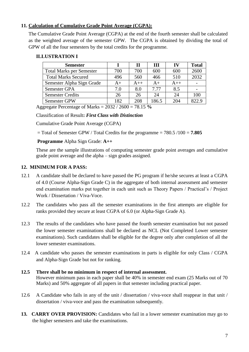### **11. Calculation of Cumulative Grade Point Average (CGPA):**

The Cumulative Grade Point Average (CGPA) at the end of the fourth semester shall be calculated as the weighted average of the semester GPW. The CGPA is obtained by dividing the total of GPW of all the four semesters by the total credits for the programme.

### **ILLUSTRATION I**

| <b>Semester</b>                 |      | П     | Ш     | $\bf{IV}$ | <b>Total</b> |
|---------------------------------|------|-------|-------|-----------|--------------|
| <b>Total Marks per Semester</b> | 700  | 700   | 600   | 600       | 2600         |
| <b>Total Marks Secured</b>      | 496  | 560   | 466   | 510       | 2032         |
| Semester Alpha Sign Grade       | $A+$ | $A++$ | $A+$  | $A++$     |              |
| Semester GPA                    | 7.0  | 8.0   | 7.77  | 8.5       |              |
| <b>Semester Credits</b>         | 26   | 26    | 24    | 24        | 100          |
| Semester GPW                    | 182  | 208   | 186.5 | 204       | 822.9        |

Aggregate Percentage of Marks = 2032 / 2600 = 78.15 **%**

Classification of Result**:** *First Class with Distinction*

Cumulative Grade Point Average (CGPA)

= Total of Semester GPW / Total Credits for the programme = 780.5 /100 = **7.805** 

### **Programme** Alpha Sign Grade: **A++**

These are the sample illustrations of computing semester grade point averages and cumulative grade point average and the alpha – sign grades assigned.

### **12. MINIMUM FOR A PASS:**

- 12.1 A candidate shall be declared to have passed the PG program if he/she secures at least a CGPA of 4.0 (Course Alpha-Sign Grade C) in the aggregate of both internal assessment and semester end examination marks put together in each unit such as Theory Papers / Practical's / Project Work / Dissertation / Viva-Voce.
- 12.2 The candidates who pass all the semester examinations in the first attempts are eligible for ranks provided they secure at least CGPA of 6.0 (or Alpha-Sign Grade A).
- 12.3 The results of the candidates who have passed the fourth semester examination but not passed the lower semester examinations shall be declared as NCL (Not Completed Lower semester examinations). Such candidates shall be eligible for the degree only after completion of all the lower semester examinations.
- 12.4 A candidate who passes the semester examinations in parts is eligible for only Class / CGPA and Alpha-Sign Grade but not for ranking.

### **12.5 There shall be no minimum in respect of internal assessment.**  However minimum pass in each paper shall be 40% in semester end exam (25 Marks out of 70 Marks) and 50% aggregate of all papers in that semester including practical paper.

- 12.6 A Candidate who fails in any of the unit / dissertation / viva-voce shall reappear in that unit / dissertation / viva-voce and pass the examination subsequently.
- 13. **CARRY OVER PROVISION:** Candidates who fail in a lower semester examination may go to the higher semesters and take the examinations.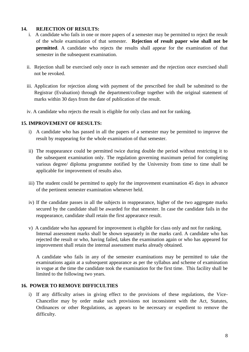### **14. REJECTION OF RESULTS:**

- i. A candidate who fails in one or more papers of a semester may be permitted to reject the result of the whole examination of that semester. **Rejection of result paper wise shall not be permitted**. A candidate who rejects the results shall appear for the examination of that semester in the subsequent examination.
- ii. Rejection shall be exercised only once in each semester and the rejection once exercised shall not be revoked.
- iii. Application for rejection along with payment of the prescribed fee shall be submitted to the Registrar (Evaluation) through the department/college together with the original statement of marks within 30 days from the date of publication of the result.
- iv. A candidate who rejects the result is eligible for only class and not for ranking.

### **15. IMPROVEMENT OF RESULTS:**

- i) A candidate who has passed in all the papers of a semester may be permitted to improve the result by reappearing for the whole examination of that semester.
- ii) The reappearance could be permitted twice during double the period without restricting it to the subsequent examination only. The regulation governing maximum period for completing various degree/ diploma programme notified by the University from time to time shall be applicable for improvement of results also.
- iii) The student could be permitted to apply for the improvement examination 45 days in advance of the pertinent semester examination whenever held.
- iv) If the candidate passes in all the subjects in reappearance, higher of the two aggregate marks secured by the candidate shall be awarded for that semester. In case the candidate fails in the reappearance, candidate shall retain the first appearance result.
- v) A candidate who has appeared for improvement is eligible for class only and not for ranking. Internal assessment marks shall be shown separately in the marks card. A candidate who has rejected the result or who, having failed, takes the examination again or who has appeared for improvement shall retain the internal assessment marks already obtained.

A candidate who fails in any of the semester examinations may be permitted to take the examinations again at a subsequent appearance as per the syllabus and scheme of examination in vogue at the time the candidate took the examination for the first time. This facility shall be limited to the following two years.

### **16. POWER TO REMOVE DIFFICULTIES**

i) If any difficulty arises in giving effect to the provisions of these regulations, the Vice-Chancellor may by order make such provisions not inconsistent with the Act, Statutes, Ordinances or other Regulations, as appears to be necessary or expedient to remove the difficulty.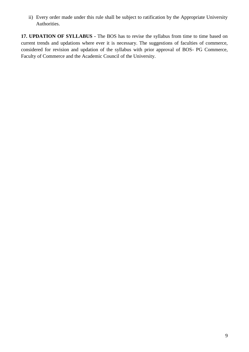ii) Every order made under this rule shall be subject to ratification by the Appropriate University Authorities.

**17. UPDATION OF SYLLABUS -** The BOS has to revise the syllabus from time to time based on current trends and updations where ever it is necessary. The suggestions of faculties of commerce, considered for revision and updation of the syllabus with prior approval of BOS- PG Commerce, Faculty of Commerce and the Academic Council of the University.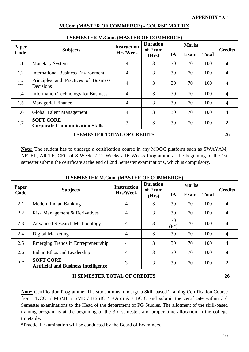| <b>Paper</b> | <b>Subjects</b>                                           | <b>Instruction</b> | <b>Duration</b><br>of Exam<br>(Hrs) | <b>Marks</b> |             |              | <b>Credits</b> |
|--------------|-----------------------------------------------------------|--------------------|-------------------------------------|--------------|-------------|--------------|----------------|
| Code         |                                                           | <b>Hrs/Week</b>    |                                     | IA           | <b>Exam</b> | <b>Total</b> |                |
| 1.1          | <b>Monetary System</b>                                    | $\overline{4}$     | 3                                   | 30           | 70          | 100          | 4              |
| 1.2          | <b>International Business Environment</b>                 | $\overline{4}$     | 3                                   | 30           | 70          | 100          | 4              |
| 1.3          | Principles and Practices of Business<br>Decisions         | $\overline{4}$     | 3                                   | 30           | 70          | 100          |                |
| 1.4          | <b>Information Technology for Business</b>                | $\overline{4}$     | 3                                   | 30           | 70          | 100          | 4              |
| 1.5          | <b>Managerial Finance</b>                                 | $\overline{4}$     | 3                                   | 30           | 70          | 100          | 4              |
| 1.6          | Global Talent Management                                  | $\overline{4}$     | 3                                   | 30           | 70          | 100          | 4              |
| 1.7          | <b>SOFT CORE</b><br><b>Corporate Communication Skills</b> | 3                  | 3                                   | 30           | 70          | 100          | 2              |
|              | <b>I SEMESTER TOTAL OF CREDITS</b>                        |                    |                                     |              |             |              | <b>26</b>      |

### **M.Com (MASTER OF COMMERCE) - COURSE MATRIX**

| Paper                              | <b>Subjects</b>                                           | <b>Instruction</b> | Duration<br>of Exam |    |             | <b>Credits</b> |                         |
|------------------------------------|-----------------------------------------------------------|--------------------|---------------------|----|-------------|----------------|-------------------------|
| Code                               |                                                           | <b>Hrs/Week</b>    | (Hrs)               | IA | <b>Exam</b> | <b>Total</b>   |                         |
| 1.1                                | <b>Monetary System</b>                                    | $\overline{4}$     | 3                   | 30 | 70          | 100            |                         |
| 1.2                                | <b>International Business Environment</b>                 | $\overline{4}$     | 3                   | 30 | 70          | 100            | $\boldsymbol{4}$        |
| 1.3                                | Principles and Practices of Business<br>Decisions         | 4                  | 3                   | 30 | 70          | 100            | $\boldsymbol{4}$        |
| 1.4                                | <b>Information Technology for Business</b>                | $\overline{4}$     | 3                   | 30 | 70          | 100            | $\overline{\mathbf{4}}$ |
| 1.5                                | <b>Managerial Finance</b>                                 | $\overline{4}$     | 3                   | 30 | 70          | 100            | $\overline{\mathbf{4}}$ |
| 1.6                                | Global Talent Management                                  | $\overline{4}$     | 3                   | 30 | 70          | 100            | $\boldsymbol{4}$        |
| 1.7                                | <b>SOFT CORE</b><br><b>Corporate Communication Skills</b> | 3                  | 3                   | 30 | 70          | 100            | $\overline{2}$          |
| <b>I SEMESTER TOTAL OF CREDITS</b> |                                                           |                    |                     |    |             |                | 26                      |
|                                    |                                                           |                    |                     |    |             |                |                         |

### **I SEMESTER M.Com. (MASTER OF COMMERCE)**

**Note:** The student has to undergo a certification course in any MOOC platform such as SWAYAM, NPTEL, AICTE, CEC of 8 Weeks / 12 Weeks / 16 Weeks Programme at the beginning of the 1st semester submit the certificate at the end of 2nd Semester examinations, which is compulsory.

| Paper | <b>Subjects</b>                                                 | <b>Instruction</b><br><b>Hrs/Week</b> | <b>Duration</b><br>of Exam |               | <b>Credits</b> |              |                |  |
|-------|-----------------------------------------------------------------|---------------------------------------|----------------------------|---------------|----------------|--------------|----------------|--|
| Code  |                                                                 |                                       | (Hrs)                      | IA            | <b>Exam</b>    | <b>Total</b> |                |  |
| 2.1   | Modern Indian Banking                                           | $\overline{4}$                        | 3                          | 30            | 70             | 100          | 4              |  |
| 2.2   | Risk Management & Derivatives                                   | 4                                     | 3                          | 30            | 70             | 100          | 4              |  |
| 2.3   | <b>Advanced Research Methodology</b>                            | 4                                     | 3                          | 30<br>$(P^*)$ | 70             | 100          | 4              |  |
| 2.4   | Digital Marketing                                               | $\overline{4}$                        | 3                          | 30            | 70             | 100          | 4              |  |
| 2.5   | Emerging Trends in Entrepreneurship                             | 4                                     | 3                          | 30            | 70             | 100          | 4              |  |
| 2.6   | Indian Ethos and Leadership                                     | 4                                     | 3                          | 30            | 70             | 100          | 4              |  |
| 2.7   | <b>SOFT CORE</b><br><b>Artificial and Business Intelligence</b> | 3                                     | 3                          | 30            | 70             | 100          | $\overline{2}$ |  |
|       | <b>II SEMESTER TOTAL OF CREDITS</b>                             |                                       |                            |               |                |              |                |  |

### **II SEMESTER M.Com. (MASTER OF COMMERCE)**

**Note:** Certification Programme: The student must undergo a Skill-based Training Certification Course from FKCCI / MSME / SME / KSSIC / KASSIA / BCIC and submit the certificate within 3rd Semester examinations to the Head of the department of PG Studies. The allotment of the skill-based training program is at the beginning of the 3rd semester, and proper time allocation in the college timetable.

\*Practical Examination will be conducted by the Board of Examiners.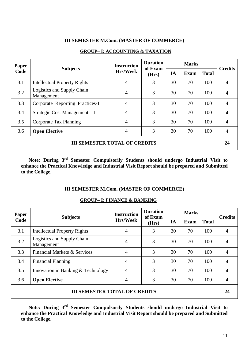### **III SEMESTER M.Com. (MASTER OF COMMERCE)**

| <b>Paper</b> | <b>Subjects</b>                          | <b>Instruction</b> | <b>Duration</b><br>of Exam | <b>Marks</b> |      |              | <b>Credits</b> |
|--------------|------------------------------------------|--------------------|----------------------------|--------------|------|--------------|----------------|
| Code         |                                          | <b>Hrs/Week</b>    | (Hrs)                      | IA           | Exam | <b>Total</b> |                |
| 3.1          | <b>Intellectual Property Rights</b>      | 4                  | 3                          | 30           | 70   | 100          | 4              |
| 3.2          | Logistics and Supply Chain<br>Management | $\overline{4}$     | 3                          | 30           | 70   | 100          | 4              |
| 3.3          | Corporate Reporting Practices-I          | $\overline{4}$     | 3                          | 30           | 70   | 100          | 4              |
| 3.4          | Strategic Cost Management - I            | $\overline{4}$     | 3                          | 30           | 70   | 100          | 4              |
| 3.5          | Corporate Tax Planning                   | $\overline{4}$     | 3                          | 30           | 70   | 100          | 4              |
| 3.6          | <b>Open Elective</b>                     | $\overline{4}$     | 3                          | 30           | 70   | 100          | 4              |
|              | <b>III SEMESTER TOTAL OF CREDITS</b>     |                    |                            |              |      |              | 24             |

#### **[GROUP–](http://www.pdfcomplete.com/cms/hppl/tabid/108/Default.aspx?r=q8b3uige22) I: ACCOUNTING & TAXATION**

**Note: During 3rd Semester Compulsorily Students should undergo Industrial Visit to enhance the Practical Knowledge and Industrial Visit Report should be prepared and Submitted to the College.**

#### **III SEMESTER M.Com. (MASTER OF COMMERCE)**

#### **[GROUP–](http://www.pdfcomplete.com/cms/hppl/tabid/108/Default.aspx?r=q8b3uige22) I: FINANCE & BANKING**

| <b>Paper</b>                         | <b>Subjects</b>                          | <b>Instruction</b> | <b>Duration</b><br>of Exam | <b>Marks</b> |             |              | <b>Credits</b>   |
|--------------------------------------|------------------------------------------|--------------------|----------------------------|--------------|-------------|--------------|------------------|
| Code                                 |                                          | <b>Hrs/Week</b>    | (Hrs)                      | IA           | <b>Exam</b> | <b>Total</b> |                  |
| 3.1                                  | <b>Intellectual Property Rights</b>      | 4                  | 3                          | 30           | 70          | 100          | 4                |
| 3.2                                  | Logistics and Supply Chain<br>Management | 4                  | 3                          | 30           | 70          | 100          | 4                |
| 3.3                                  | Financial Markets & Services             | 4                  | 3                          | 30           | 70          | 100          | 4                |
| 3.4                                  | <b>Financial Planning</b>                | 4                  | 3                          | 30           | 70          | 100          | 4                |
| 3.5                                  | Innovation in Banking & Technology       | 4                  | 3                          | 30           | 70          | 100          | 4                |
| 3.6                                  | <b>Open Elective</b>                     | 4                  | 3                          | 30           | 70          | 100          | $\boldsymbol{4}$ |
| <b>III SEMESTER TOTAL OF CREDITS</b> |                                          |                    |                            |              |             |              |                  |

**Note: During 3rd Semester Compulsorily Students should undergo Industrial Visit to enhance the Practical Knowledge and Industrial Visit Report should be prepared and Submitted to the College.**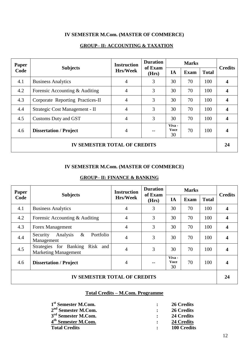### **IV SEMESTER M.Com. (MASTER OF COMMERCE)**

| <b>Paper</b>                        | <b>Subjects</b>                  | <b>Instruction</b> | <b>Duration</b><br>of Exam |                             | <b>Marks</b> |              | <b>Credits</b> |
|-------------------------------------|----------------------------------|--------------------|----------------------------|-----------------------------|--------------|--------------|----------------|
| Code                                |                                  | <b>Hrs/Week</b>    | (Hrs)                      | IA                          | <b>Exam</b>  | <b>Total</b> |                |
| 4.1                                 | <b>Business Analytics</b>        | $\overline{4}$     | 3                          | 30                          | 70           | 100          | 4              |
| 4.2                                 | Forensic Accounting & Auditing   | 4                  | 3                          | 30                          | 70           | 100          | 4              |
| 4.3                                 | Corporate Reporting Practices-II | $\overline{4}$     | 3                          | 30                          | 70           | 100          | 4              |
| 4.4                                 | Strategic Cost Management - II   | $\overline{4}$     | 3                          | 30                          | 70           | 100          | 4              |
| 4.5                                 | Customs Duty and GST             | $\overline{4}$     | 3                          | 30                          | 70           | 100          | 4              |
| 4.6                                 | <b>Dissertation / Project</b>    | 4                  |                            | Viva -<br><b>Voce</b><br>30 | 70           | 100          |                |
| <b>IV SEMESTER TOTAL OF CREDITS</b> |                                  |                    |                            |                             |              | 24           |                |

### **[GROUP–](http://www.pdfcomplete.com/cms/hppl/tabid/108/Default.aspx?r=q8b3uige22) II: ACCOUNTING & TAXATION**

#### **IV SEMESTER M.Com. (MASTER OF COMMERCE)**

#### **[GROUP–](http://www.pdfcomplete.com/cms/hppl/tabid/108/Default.aspx?r=q8b3uige22) II: FINANCE & BANKING**

| <b>Paper</b>                        |                                                                   | <b>Instruction</b> | <b>Duration</b><br>of Exam | <b>Marks</b>                |             |              | <b>Credits</b> |
|-------------------------------------|-------------------------------------------------------------------|--------------------|----------------------------|-----------------------------|-------------|--------------|----------------|
| Code                                | <b>Subjects</b>                                                   | <b>Hrs/Week</b>    | (Hrs)                      | IA                          | <b>Exam</b> | <b>Total</b> |                |
| 4.1                                 | <b>Business Analytics</b>                                         | $\overline{4}$     | 3                          | 30                          | 70          | 100          | 4              |
| 4.2                                 | Forensic Accounting & Auditing                                    | 4                  | 3                          | 30                          | 70          | 100          | 4              |
| 4.3                                 | <b>Forex Management</b>                                           | 4                  | 3                          | 30                          | 70          | 100          | 4              |
| 4.4                                 | Analysis<br>$\&$<br>Portfolio<br>Security<br>Management           | 4                  | 3                          | 30                          | 70          | 100          |                |
| 4.5                                 | Risk and<br>Strategies for Banking<br><b>Marketing Management</b> | 4                  | 3                          | 30                          | 70          | 100          | 4              |
| 4.6                                 | <b>Dissertation / Project</b>                                     | 4                  |                            | Viva -<br><b>Voce</b><br>30 | 70          | 100          |                |
| <b>IV SEMESTER TOTAL OF CREDITS</b> |                                                                   |                    |                            |                             |             | 24           |                |

### **Total Credits – M.Com. Programme**

| 1 <sup>st</sup> Semester M.Com.         | $\bullet$ and $\bullet$ | 26 Credits              |
|-----------------------------------------|-------------------------|-------------------------|
| $2^{\rm nd}$ Semester M.Com.            |                         | 26 Credits              |
| 3 <sup>rd</sup> Semester M.Com.         |                         | $\therefore$ 24 Credits |
| 4 <sup>th</sup> Semester M <u>.Com.</u> |                         | $\therefore$ 24 Credits |
| <b>Total Credits</b>                    |                         | <b>100 Credits</b>      |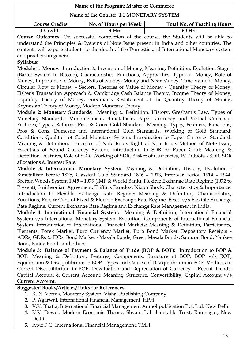| Name of the Program: Master of Commerce                                                                                                                                                       |                       |                                                                                              |  |  |
|-----------------------------------------------------------------------------------------------------------------------------------------------------------------------------------------------|-----------------------|----------------------------------------------------------------------------------------------|--|--|
| Name of the Course: 1.1 MONETARY SYSTEM                                                                                                                                                       |                       |                                                                                              |  |  |
| <b>Course Credits</b>                                                                                                                                                                         | No. of Hours per Week | <b>Total No. of Teaching Hours</b>                                                           |  |  |
| 4 Credits                                                                                                                                                                                     | 4 Hrs                 | 60 Hrs                                                                                       |  |  |
|                                                                                                                                                                                               |                       | Course Outcomes: On successful completion of the course, the Students will be able to        |  |  |
|                                                                                                                                                                                               |                       | understand the Principles & Systems of Note Issue present in India and other countries. The  |  |  |
|                                                                                                                                                                                               |                       | contents will expose students to the depth of the Domestic and International Monetary system |  |  |
| and practices in general.                                                                                                                                                                     |                       |                                                                                              |  |  |
| Syllabus:                                                                                                                                                                                     |                       |                                                                                              |  |  |
|                                                                                                                                                                                               |                       | Module 1: Money: Introduction & Invention of Money, Meaning, Definition, Evolution: Stages   |  |  |
|                                                                                                                                                                                               |                       | (Barter System to Bitcoin), Characteristics, Functions, Approaches, Types of Money, Role of  |  |  |
|                                                                                                                                                                                               |                       | Money, Importance of Money, Evils of Money, Money and Near Money, Time Value of Money,       |  |  |
|                                                                                                                                                                                               |                       | Circular Flow of Money - Sectors. Theories of Value of Money - Quantity Theory of Money:     |  |  |
|                                                                                                                                                                                               |                       | Fisher's Transaction Approach & Cambridge Cash Balance Theory, Income Theory of Money,       |  |  |
|                                                                                                                                                                                               |                       | Liquidity Theory of Money, Friedman's Restatement of the Quantity Theory of Money,           |  |  |
| Keynesian Theory of Money, Modern Monetary Theory.                                                                                                                                            |                       |                                                                                              |  |  |
|                                                                                                                                                                                               |                       | Module 2: Monetary Standards: Meaning & Definition, History, Gresham's Law, Types of         |  |  |
|                                                                                                                                                                                               |                       | Monetary Standards: Monometalism, Bimetallism, Paper Currency and Virtual Currency:          |  |  |
|                                                                                                                                                                                               |                       | Features, Types, Reforms, Pros & Cons. Gold Standard: Meaning, Types, Features, Functions,   |  |  |
|                                                                                                                                                                                               |                       | Pros & Cons, Domestic and International Gold Standards, Working of Gold Standard:            |  |  |
| Conditions, Qualities of Good Monetary System. Introduction to Paper Currency Standard:                                                                                                       |                       |                                                                                              |  |  |
| Meaning & Definition, Principles of Note Issue, Right of Note Issue, Method of Note Issue,                                                                                                    |                       |                                                                                              |  |  |
| Essentials of Sound Currency System. Introduction to SDR or Paper Gold: Meaning &                                                                                                             |                       |                                                                                              |  |  |
| Definition, Features, Role of SDR, Working of SDR, Basket of Currencies, IMF Quota - SDR, SDR<br>allocations & Interest Rate.                                                                 |                       |                                                                                              |  |  |
|                                                                                                                                                                                               |                       | Module 3: International Monetary System: Meaning & Definition, History, Evolution -          |  |  |
|                                                                                                                                                                                               |                       | Bimetallism before 1875, Classical Gold Standard 1876 - 1913, Interwar Period 1914 - 1944,   |  |  |
|                                                                                                                                                                                               |                       |                                                                                              |  |  |
| Bretton Woods System 1945 - 1973 (IMF & World Bank), Flexible Exchange Rate Regime (1972 to<br>Present), Smithsonian Agreement, Triffin's Paradox, Nixon Shock; Characteristics & Importance. |                       |                                                                                              |  |  |
| Introduction to Flexible Exchange Rate Regime: Meaning & Definition, Characteristics,                                                                                                         |                       |                                                                                              |  |  |
| Functions, Pros & Cons of Fixed & Flexible Exchange Rate Regime, Fixed v/s Flexible Exchange                                                                                                  |                       |                                                                                              |  |  |
| Rate Regime, Current Exchange Rate Regime and Exchange Rate Management in India.                                                                                                              |                       |                                                                                              |  |  |
| Module 4: International Financial System: Meaning & Definition, International Financial                                                                                                       |                       |                                                                                              |  |  |
|                                                                                                                                                                                               |                       | System v/s International Monetary System, Evolution, Components of International Financial   |  |  |
|                                                                                                                                                                                               |                       | System. Introduction to International Financial Markets: Meaning & Definition, Participants, |  |  |
|                                                                                                                                                                                               |                       | Elements, Forex Market, Euro Currency Market, Euro Bond Market, Depository Receipts -        |  |  |
|                                                                                                                                                                                               |                       | ADRs, GDRs & IDRs; Bond Market - Masala Bonds, Green Masala Bonds, Samurai Bond, Yankee      |  |  |
| Bond, Panda Bonds and others.                                                                                                                                                                 |                       |                                                                                              |  |  |
|                                                                                                                                                                                               |                       | Module 5: Balance of Payment & Balance of Trade (BOP & BOT): Introduction to BOP &           |  |  |
|                                                                                                                                                                                               |                       | BOT: Meaning & Definition, Features, Components, Structure of BOP, BOP v/s BOT,              |  |  |
|                                                                                                                                                                                               |                       | Equilibrium & Disequilibrium in BOP, Types and Causes of Disequilibrium in BOP, Methods to   |  |  |
|                                                                                                                                                                                               |                       | Correct Disequilibrium in BOP, Devaluation and Depreciation of Currency - Recent Trends.     |  |  |
|                                                                                                                                                                                               |                       | Capital Account & Current Account: Meaning, Structure, Convertibility, Capital Account v/s   |  |  |
| Current Account.                                                                                                                                                                              |                       |                                                                                              |  |  |
| <b>Suggested Books/Articles/Links for References:</b>                                                                                                                                         |                       |                                                                                              |  |  |
| 1. K. N. Verma, Monetary System, Vishal Publishing Company                                                                                                                                    |                       |                                                                                              |  |  |
| 2. P. Agarwal, International Financial Management, HPH                                                                                                                                        |                       |                                                                                              |  |  |
|                                                                                                                                                                                               |                       | 3. V.K. Bhatta, International Financial Management Anmol publication Pvt. Ltd. New Delhi.    |  |  |
|                                                                                                                                                                                               |                       | 4. K.K. Dewet, Modern Economic Theory, Shyam Lal chaintable Trust, Ramnagar, New             |  |  |
| Delhi.                                                                                                                                                                                        |                       |                                                                                              |  |  |

**5.** Apte P.G: International Financial Management, TMH

٦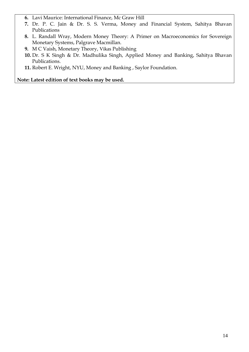- **6.** Lavi Maurice: International Finance, Mc Graw Hill
- **7.** Dr. P. C. Jain & Dr. S. S. Verma, Money and Financial System, Sahitya Bhavan Publications
- **8.** L. Randall Wray, Modern Money Theory: A Primer on Macroeconomics for Sovereign Monetary Systems, Palgrave Macmillan.
- **9.** M C Vaish, Monetary Theory, Vikas Publishing
- **10.** Dr. S K Singh & Dr. Madhulika Singh, Applied Money and Banking, Sahitya Bhavan Publications.
- **11.** Robert E. Wright, NYU, Money and Banking , Saylor Foundation.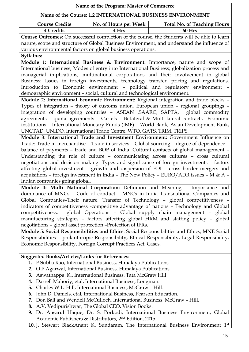| Name of the Program: Master of Commerce                                                                                                                                            |                                                                                                                     |                                                                                                |  |  |
|------------------------------------------------------------------------------------------------------------------------------------------------------------------------------------|---------------------------------------------------------------------------------------------------------------------|------------------------------------------------------------------------------------------------|--|--|
| Name of the Course: 1.2 INTERNATIONAL BUSINESS ENVIRONMENT                                                                                                                         |                                                                                                                     |                                                                                                |  |  |
| <b>Course Credits</b>                                                                                                                                                              | No. of Hours per Week                                                                                               | <b>Total No. of Teaching Hours</b>                                                             |  |  |
| <b>4 Credits</b>                                                                                                                                                                   | 4 Hrs                                                                                                               | 60 Hrs                                                                                         |  |  |
|                                                                                                                                                                                    |                                                                                                                     | Course Outcomes: On successful completion of the course, the Students will be able to learn    |  |  |
|                                                                                                                                                                                    |                                                                                                                     | nature, scope and structure of Global Business Environment, and understand the influence of    |  |  |
| various environmental factors on global business operations.                                                                                                                       |                                                                                                                     |                                                                                                |  |  |
| Syllabus:                                                                                                                                                                          |                                                                                                                     |                                                                                                |  |  |
|                                                                                                                                                                                    |                                                                                                                     | Module 1: International Business & Environment: Importance, nature and scope of                |  |  |
|                                                                                                                                                                                    |                                                                                                                     | International business; Modes of entry into International Business; globalization process and  |  |  |
|                                                                                                                                                                                    |                                                                                                                     | managerial implications; multinational corporations and their involvement in global            |  |  |
|                                                                                                                                                                                    |                                                                                                                     | Business: Issues in foreign investments, technology transfer, pricing and regulations.         |  |  |
|                                                                                                                                                                                    |                                                                                                                     | Introduction to Economic environment - political and regulatory environment -                  |  |  |
| demographic environment - social, cultural and technological environment.                                                                                                          |                                                                                                                     |                                                                                                |  |  |
|                                                                                                                                                                                    |                                                                                                                     | Module 2: International Economic Environment: Regional integration and trade blocks -          |  |  |
|                                                                                                                                                                                    |                                                                                                                     | Types of integration - theory of customs union, European union - regional groupings -          |  |  |
|                                                                                                                                                                                    |                                                                                                                     | integration of developing countries - ASEAN , SAARC, SAPTA, global commodity                   |  |  |
|                                                                                                                                                                                    |                                                                                                                     | agreements - quota agreements - Cartels - Bi-lateral & Multi-lateral contracts- Economic       |  |  |
|                                                                                                                                                                                    |                                                                                                                     | institutions - International Monetary Funds (IMF) - World Bank, Asian Development Bank,        |  |  |
| UNCTAD, UNIDO, International Trade Centre, WTO, GATS, TRIM, TRIPS.                                                                                                                 |                                                                                                                     |                                                                                                |  |  |
|                                                                                                                                                                                    |                                                                                                                     | Module 3: International Trade and Investment Environment: Government Influence on              |  |  |
|                                                                                                                                                                                    |                                                                                                                     | Trade: Trade in merchandise - Trade in services - Global sourcing - degree of dependence -     |  |  |
| balance of payments - trade and BOP of India. Cultural contacts of global management -                                                                                             |                                                                                                                     |                                                                                                |  |  |
| Understanding the role of culture - communicating across cultures - cross cultural                                                                                                 |                                                                                                                     |                                                                                                |  |  |
| negotiations and decision making. Types and significance of foreign investments - factors<br>affecting global investment - growth and dispersion of FDI - cross border mergers and |                                                                                                                     |                                                                                                |  |  |
|                                                                                                                                                                                    |                                                                                                                     |                                                                                                |  |  |
|                                                                                                                                                                                    |                                                                                                                     | acquisitions - foreign investment in India - The New Policy - EURO/ADR issues - M & A -        |  |  |
| Indian companies going global.                                                                                                                                                     |                                                                                                                     |                                                                                                |  |  |
|                                                                                                                                                                                    |                                                                                                                     | Module 4: Multi National Corporation: Definition and Meaning - Importance and                  |  |  |
|                                                                                                                                                                                    |                                                                                                                     | dominance of MNCs - Code of conduct - MNCs in India Transnational Companies and                |  |  |
|                                                                                                                                                                                    |                                                                                                                     | Global Companies-Their nature, Transfer of Technology - global competitiveness -               |  |  |
|                                                                                                                                                                                    |                                                                                                                     | indicators of competitiveness -competitive advantage of nations - Technology and Global        |  |  |
| competitiveness.                                                                                                                                                                   |                                                                                                                     | global Operations - Global supply chain management - global                                    |  |  |
|                                                                                                                                                                                    |                                                                                                                     | manufacturing strategies - factors affecting global HRM and staffing policy - global           |  |  |
| negotiations - global asset protection -Protection of IPRs.                                                                                                                        |                                                                                                                     |                                                                                                |  |  |
|                                                                                                                                                                                    |                                                                                                                     | Module 5: Social Responsibilities and Ethics: Social Responsibilities and Ethics, MNE Social   |  |  |
|                                                                                                                                                                                    |                                                                                                                     | Responsibilities - philanthropic Responsibility, Ethical Responsibility, Legal Responsibility, |  |  |
| Economic Responsibility, Foreign Corrupt Practices Act, Cases.                                                                                                                     |                                                                                                                     |                                                                                                |  |  |
|                                                                                                                                                                                    |                                                                                                                     |                                                                                                |  |  |
| <b>Suggested Books/Articles/Links for References:</b>                                                                                                                              |                                                                                                                     |                                                                                                |  |  |
| 1. P Subba Rao, International Business, Himalaya Publications<br>2.                                                                                                                | O P Agarwal, International Business, Himalaya Publications                                                          |                                                                                                |  |  |
| 3.                                                                                                                                                                                 |                                                                                                                     |                                                                                                |  |  |
| 4.                                                                                                                                                                                 | Aswathappa. K., International Business, Tata McGraw Hill<br>Darrell Mahoriy, etal, International Business, Longman. |                                                                                                |  |  |
| 5.                                                                                                                                                                                 | Charles W.L. Hill, International Business, McGraw - Hill.                                                           |                                                                                                |  |  |
| 6.                                                                                                                                                                                 | John D. Daniels, etal, International Business, Pearson Education.                                                   |                                                                                                |  |  |
| 7.                                                                                                                                                                                 | Don Ball and Wendell McCulloch, International Business, McGraw - Hill.                                              |                                                                                                |  |  |
| 8.                                                                                                                                                                                 | A.V. Vedipurishwar, The Global CEO, Vision Books.                                                                   |                                                                                                |  |  |
|                                                                                                                                                                                    |                                                                                                                     | 9. Dr. Ansarul Haque, Dr. S. Porkodi, International Business Environment, Global               |  |  |
|                                                                                                                                                                                    | Academic Publishers & Distributors, 2 <sup>nd</sup> Edition, 2015                                                   |                                                                                                |  |  |

**10.** J. [Stewart](https://www.flipkart.com/books/j-stewart-black~contributor/pr?sid=bks) BlackAnant K. [Sundaram,](https://www.flipkart.com/books/j-stewart-black~contributor/pr?sid=bks) The International Business Environment 1st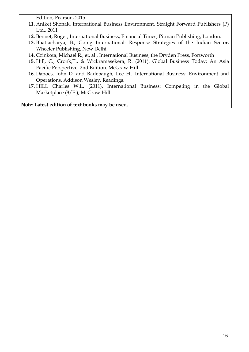Edition, Pearson, 2015

- **11.** Aniket Shonak, International Business Environment, Straight Forward Publishers (P) Ltd., 2011
- **12.** Bennet, Roger, International Business, Financial Times, Pitman Publishing, London.
- **13.** Bhattacharya, B., Going International: Response Strategies of the Indian Sector, Wheeler Publishing, New Delhi.
- **14.** Czinkota, Michael R., et. al., International Business, the Dryden Press, Fortworth
- **15.** Hill, C., Cronk,T., & Wickramasekera, R. (2011). Global Business Today: An Asia Pacific Perspective. 2nd Edition. McGraw-Hill
- **16.** Danoes, John D. and Radebaugh, Lee H., International Business: Environment and Operations, Addison Wesley, Readings.
- **17.** HILL Charles W.L. (2011), International Business: Competing in the Global Marketplace (8/E.), McGraw-Hill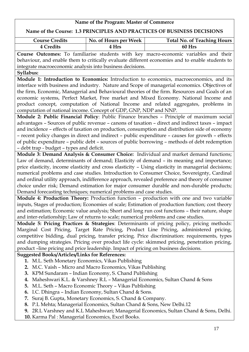### **Name of the Course: 1.3 PRINCIPLES AND PRACTICES OF BUSINESS DECISIONS**

| <b>Course Credits</b> | No. of Hours per Week | <b>Total No. of Teaching Hours</b> |
|-----------------------|-----------------------|------------------------------------|
| 4 Credits             | ' Hrs                 | 60 Hrs                             |

**Course Outcomes:** To familiarise students with key macro-economic variables and their behaviour, and enable them to critically evaluate different economies and to enable students to integrate macroeconomic analysis into business decisions.

### **Syllabus:**

**Module 1: Introduction to Economics:** Introduction to economics, macroeconomics, and its interface with business and industry. Nature and Scope of managerial economics. Objectives of the firm, Economic, Managerial and Behavioural theories of the firm. Resources and Goals of an economic systems, Perfect Market, Free market and Mixed Economy. National Income and product concept, computation of National Income and related aggregates, problems in computation of national income. Concept of GDP, GNP, NDP and NNP.

**Module 2: Public Financial Policy**: Public Finance branches – Principle of maximum social advantages – Sources of public revenue – canons of taxation – direct and indirect taxes – impact and incidence – effects of taxation on production, consumption and distribution side of economy – recent policy changes in direct and indirect – public expenditure – causes for growth – effects of public expenditure – public debt – sources of public borrowing – methods of debt redemption – debt trap - budget – types and deficit.

**Module 3: Demand Analysis & Consumer Choice:** Individual and market demand functions; Law of demand, determinants of demand; Elasticity of demand – its meaning and importance; price elasticity, income elasticity and cross elasticity – Using elasticity in managerial decisions; numerical problems and case studies. Introduction to Consumer Choice, Sovereignty, Cardinal and ordinal utility approach, indifference approach, revealed preference and theory of consumer choice under risk; Demand estimation for major consumer durable and non-durable products; Demand forecasting techniques; numerical problems and case studies.

**Module 4: Production Theory:** Production function – production with one and two variable inputs, Stages of production; Economies of scale; Estimation of production function; cost theory and estimation; Economic value analysis; Short and long run cost functions – their nature, shape and inter-relationship; Law of returns to scale; numerical problems and case studies.

**Module 5: Pricing Practices & Strategies**: Determinants of pricing policy, pricing methods: Marginal Cost Pricing, Target Rate Pricing, Product Line Pricing, administered pricing, competitive bidding, dual pricing, transfer pricing. Price discrimination: requirements, types and dumping strategies. Pricing over product life cycle: skimmed pricing, penetration pricing, product –line pricing and price leadership. Impact of pricing on business decisions.

### **Suggested Books/Articles/Links for References:**

- **1.** M.L. Seth Monetary Economics, Vikas Publishing
- **2.** M.C. Vaish Micro and Macro Economics, Vikas Publishing
- **3.** KPM Sundaram Indian Economy, S. Chand Publishing
- **4.** Maheshwari K.L. & Varshney R.L Managerial Economics, Sultan Chand & Sons
- **5.** M.L. Seth Macro Economic Theory Vikas Publishing
- **6.** I.C. Dhingra Indian Economy, Sultan Chand & Sons.
- **7.** Suraj B. Gupta, Monetary Economics, S. Chand & Company.
- **8.** P.L Mehta; Managerial Economics, Sultan Chand & Sons, New Delhi.12
- **9.** 2R.L Varshney and K.L Maheshwari; Managerial Economics, Sultan Chand & Sons, Delhi.
- **10.** Karma Pal : Managerial Economics, Excel Books.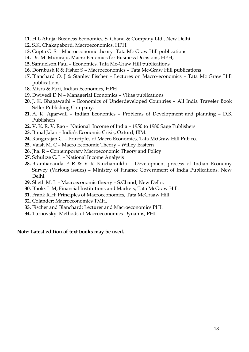- **11.** H.L Ahuja; Business Economics, S. Chand & Company Ltd., New Delhi
- **12.** S.K. Chakapaborti, Macroeconomics, HPH
- **13.** Gupta G. S. Macroeconomic theory- Tata Mc-Graw Hill publications
- **14.** Dr. M. Muniraju, Macro Ecnomics for Business Decisions, HPH,
- **15.** Samuelson,Paul Economics, Tata Mc-Graw Hill publications
- **16.** Dornbush R & Fisher S Macroeconomics Tata Mc-Graw Hill publications
- **17.** Blanchard O. J & Stanley Fischer Lectures on Macro-economics Tata Mc Graw Hill publications
- **18.** Misra & Puri, Indian Economics, HPH
- **19.** Dwivedi D N Managerial Economics Vikas publications
- **20.** J. K. Bhagawathi Economics of Underdeveloped Countries All India Traveler Book Seller Publishing Company.
- **21.** A. K. Agarwall Indian Economics Problems of Development and planning D.K Publishers.
- **22.** V. K. R. V. Rao National Income of India 1950 to 1980 Sage Publishers
- **23.** Bimal Jalan India's Economic Crisis, Oxford, IBM.
- **24.** Rangarajan C. Principles of Macro Economics, Tata McGraw Hill Pub co.
- **25.** Vaish M. C Macro Economic Theory Willey Eastern
- **26.** Jha. R Contemporary Macroeconomic Theory and Policy
- **27.** Schultze C. L National Income Analysis
- **28.** Bramhananda P R & V R Panchamukhi Development process of Indian Economy Survey (Various issues) – Ministry of Finance Government of India Publications, New Delhi.
- **29.** Sheth M. L Macroeconomic theory S.Chand, New Delhi.
- **30.** Bhole. L.M, Financial Institutions and Markets, Tata McGraw Hill.
- **31.** Frank R.H: Principles of Macroeconomics, Tata McGraaw Hill.
- **32.** Colander: Macroeconomics TMH.
- **33.** Fischer and Blanchard: Lecturer and Macroeconomics PHI.
- **34.** Turnovsky: Methods of Macroeconomics Dynamis, PHI.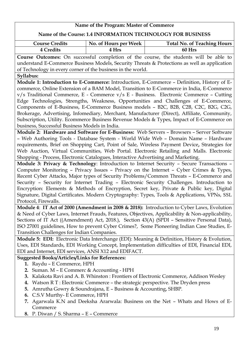### **Name of the Program: Master of Commerce Name of the Course: 1.4 INFORMATION TECHNOLOGY FOR BUSINESS Course Credits**  $\vert$  No. of Hours per Week Total No. of Teaching Hours **4 Credits 4 Hrs 60 Hrs Course Outcomes:** On successful completion of the course, the students will be able to understand E-Commerce Business Models, Security Threats & Protections as well as application of Technology in every corner of the business in the world. **Syllabus: Module 1: Introduction to E-Commerce:** Introduction, E-Commerce – Definition, History of Ecommerce, Online Extension of a BAM Model, Transition to E-Commerce in India, E-Commerce v/s Traditional Commerce, E - Commerce v/s E - Business. Electronic Commerce – Cutting Edge Technologies, Strengths, Weakness, Opportunities and Challenges of E-Commerce, Components of E-Business, E-Commerce Business models – B2C, B2B, C2B, C2C, B2G, C2G, Brokerage, Advertising, Infomediary, Merchant, Manufacturer (Direct), Affiliate, Community, Subscription, Utility. Ecommerce Business Revenue Models & Types, Impact of E-Commerce on business, Successful Business Models in India. **Module 2: Hardware and Software for E-Business:** Web Servers – Browsers – Server Software – Web Authoring Tools - Database System - World Wide Web – Domain Name – Hardware requirements, Brief on Shopping Cart, Point of Sale, Wireless Payment Device**,** Strategies for Web Auction, Virtual Communities, Web Portal. Electronic Retailing and Malls. Electronic Shopping - Process, Electronic Catalogues, Interactive Advertising and Marketing. **Module 3: Privacy & Technology**: Introduction to Internet Security – Secure Transactions – Computer Monitoring – Privacy Issues – Privacy on the Internet – Cyber Crimes & Types, Recent Cyber Attacks, Major types of Security Problems/Common Threats – E-Commerce and Security – Security for Internet Trading – Electronic Security Challenges. Introduction to Encryption: Elements & Methods of Encryption, Secret key, Private & Public key, Digital Signature, Digital Certificates. Modern Cryptography: Types, Tools & Applications, VPNs, SSL Protocol, Firewalls. **Module 4**: **IT Act of 2000 (Amendment in 2008 & 2018):** Introduction to Cyber Laws, Evolution & Need of Cyber Laws, Internet Frauds, Features, Objectives, Applicability & Non-applicability, Sections of IT Act ((Amendment) Act, 2018.), Section 43(A) (SPDI – Sensitive Personal Data), ISO 27001 guidelines, How to prevent Cyber Crimes?, Some Pioneering Indian Case Studies, E-Transition Challenges for Indian Companies. **Module 5: EDI:** Electronic Data Interchange (EDI): Meaning & Definition, History & Evolution, Uses, EDI Standards, EDI Working Concept, Implementation difficulties of EDI, Financial EDI, EDI and Internet, EDI services, ANSI X12 and EDIFACT. **Suggested Books/Articles/Links for References: 1.** Raydu – E Commerce, HPH **2.** Suman. M – E Commerc & Accounting - HPH

- **3.** Kalakota Ravi and A. B. Whinston : Frontiers of Electronic Commerce, Addison Wesley
- **4.** Watson R T : Electronic Commerce the strategic perspective. The Dryden press
- **5.** Amrutha Gowry & Soundrajana, E Business & Accounting, SHBP.
- **6.** C.S.V Murthy- E Commerce, HPH
- **7.** Agarwala K.N and Deeksha Ararwala: Business on the Net Whats and Hows of E-Commerce
- **8.** P. Diwan / S. Sharma E Commerce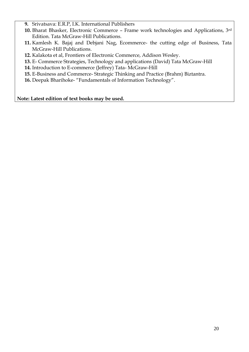- **9.** Srivatsava: E.R.P, I.K. International Publishers
- **10.** Bharat Bhasker, Electronic Commerce Frame work technologies and Applications, 3rd Edition. Tata McGraw-Hill Publications.
- **11.** Kamlesh K. Bajaj and Debjani Nag, Ecommerce- the cutting edge of Business, Tata McGraw-Hill Publications.
- **12.** Kalakota et al, Frontiers of Electronic Commerce, Addison Wesley.
- **13.** E- Commerce Strategies, Technology and applications (David) Tata McGraw-Hill
- **14.** Introduction to E-commerce (Jeffrey) Tata- McGraw-Hill
- **15.** E-Business and Commerce- Strategic Thinking and Practice (Brahm) Biztantra.
- **16.** Deepak Bharihoke- "Fundamentals of Information Technology".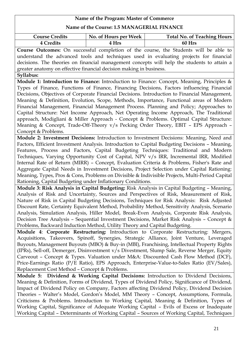### **Name of the Course: 1.5 MANAGERIAL FINANCE**

| <b>Course Credits</b> | No. of Hours per Week | <b>Total No. of Teaching Hours</b> |
|-----------------------|-----------------------|------------------------------------|
| 4 Credits             | 4 Hrs                 | 60 Hrs                             |

**Course Outcomes:** On successful completion of the course, the Students will be able to understand the advanced tools and techniques used in evaluating projects for financial decisions. The theories on financial management concepts will help the students to attain a greater anatomy on effective financial decision making in business.

**Syllabus:**

**Module 1: Introduction to Finance:** Introduction to Finance: Concept, Meaning, Principles & Types of Finance, Functions of Finance, Financing Decisions, Factors influencing Financial Decisions, Objectives of Corporate Financial Decisions. Introduction to Financial Management, Meaning & Definition, Evolution, Scope, Methods, Importance, Functional areas of Modern Financial Management, Financial Management Process. Planning and Policy; Approaches to Capital Structure: Net Income Approach, Net Operating Income Approach, The Traditional approach, Modigliani & Miller Approach - Concept & Problems. Optimal Capital Structure: Meaning & Concept, Trade-Off-Theory v/s Pecking Order Theory, EBIT – EPS Approach – Concept & Problems.

**Module 2: Investment Decisions:** Introduction to Investment Decisions: Meaning, Need and Factors, Efficient Investment Analysis. Introduction to Capital Budgeting Decisions – Meaning, Features, Process and Factors, Capital Budgeting Techniques: Traditional and Modern Techniques, Varying Opportunity Cost of Capital, NPV v/s IRR, Incremental IRR, Modified Internal Rate of Return (MIRR) – Concept, Evaluation Criteria & Problems, Fisher's Rate and Aggregate Capital Needs in Investment Decisions, Project Selection under Capital Rationing: Meaning, Types, Pros & Cons, Problems on Divisible & Indivisible Projects, Multi-Period Capital Rationing, Capital Budgeting under Inflationary Conditions.

**Module 3: Risk Analysis in Capital Budgeting:** Risk Analysis in Capital Budgeting – Meaning, Analysis of Risk and Uncertainty, Sources and Perspectives of Risk, Measurement of Risk, Nature of Risk in Capital Budgeting Decisions, Techniques for Risk Analysis: Risk Adjusted Discount Rate, Certainty Equivalent Method, Probability Method, Sensitivity Analysis, Scenario Analysis, Simulation Analysis, Hiller Model, Break-Even Analysis, Corporate Risk Analysis, Decision Tree Analysis – Sequential Investment Decisions, Market Risk Analysis – Concept & Problems, Backward Induction Method, Utility Theory and Capital Budgeting.

**Module 4**: **Corporate Restructuring:** Introduction to Corporate Restructuring: Mergers, Acquisitions, Takeovers, Spinoff, Synergies, Strategic Alliance, Joint Venture, Leveraged Buyouts, Management Buyouts (MBO) & Buy-in (MBI), Franchising, Intellectual Property Rights (IPRs), Sell-off, Demerger, Disinvestment v/s Divestment, Slump Sale, Reverse Merger, Equity Carveout – Concept & Types. Valuation under M&A: Discounted Cash Flow Method (DCF), Price-Earnings Ratio (P/E Ratio), EPS Approach, Enterprise-Value-to-Sales Ratio (EV/Sales), Replacement Cost Method – Concept & Problems.

**Module 5: Dividend & Working Capital Decisions:** Introduction to Dividend Decisions, Meaning & Definition, Forms of Dividend, Types of Dividend Policy, Significance of Dividend, Impact of Dividend Policy on Company, Factors affecting Dividend Policy, Dividend Decision Theories – Walter's Model, Gordon's Model, MM Theory – Concept, Assumptions, Formula, Criticisms & Problems. Introduction to Working Capital, Meaning & Definition, Types of Working Capital, Significance of Adequate Working Capital – Evils of Excess or Inadequate Working Capital – Determinants of Working Capital – Sources of Working Capital, Techniques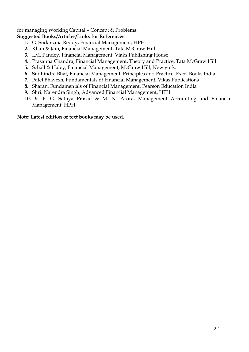### for managing Working Capital – Concept & Problems.

### **Suggested Books/Articles/Links for References:**

- **1.** G. Sudarsana Reddy, Financial Management, HPH.
- **2.** Khan & Jain, Financial Management, Tata McGraw Hill.
- **3.** I.M. Pandey, Financial Management, Viaks Publishing House
- **4.** Prasanna Chandra, Financial Management, Theory and Practice, Tata McGraw Hill
- **5.** Schall & Haley, Financial Management, McGraw Hill, New york.
- **6.** Sudhindra Bhat, Financial Management: Principles and Practice, Excel Books India
- **7.** Patel Bhavesh, Fundamentals of Financial Management, Vikas Publications
- **8.** Sharan, Fundamentals of Financial Management, Pearson Education India
- **9.** Shri. Narendra Singh, Advanced Financial Management, HPH.
- **10.** Dr. B. G. Sathya Prasad & M. N. Arora, Management Accounting and Financial Management, HPH.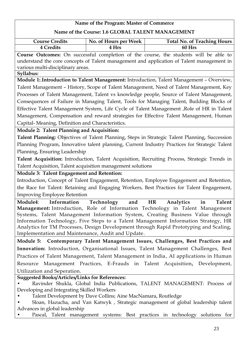### **Name of the Program: Master of Commerce Name of the Course: 1.6 GLOBAL TALENT MANAGEMENT Course Credits**  $\vert$  No. of Hours per Week Total No. of Teaching Hours **4 Credits 4 Hrs 60 Hrs Course Outcomes:** On successful completion of the course, the students will be able to understand the core concepts of Talent management and application of Talent management in various multi-disciplinary areas. **Syllabus: Module 1:**.**Introduction to Talent Management:** Introduction, Talent Management – Overview, Talent Management – History, Scope of Talent Management, Need of Talent Management, Key Processes of Talent Management, Talent vs knowledge people, Source of Talent Management, Consequences of Failure in Managing Talent, Tools for Managing Talent, Building Blocks of Effective Talent Management System, Life Cycle of Talent Management ,Role of HR in Talent Management, Compensation and reward strategies for Effective Talent Management, Human Capital- Meaning, Definition and Characteristics. **Module 2: Talent Planning and Acquisition: Talent Planning:** Objectives of Talent Planning, Steps in Strategic Talent Planning, Succession Planning Program, Innovative talent planning, Current Industry Practices for Strategic Talent Planning, Ensuring Leadership **Talent Acquisition:** Introduction, Talent Acquisition, Recruiting Process, Strategic Trends in Talent Acquisition, Talent acquisition management solutions **Module 3: Talent Engagement and Retention:**  Introduction, Concept of Talent Engagement, Retention, Employee Engagement and Retention, the Race for Talent: Retaining and Engaging Workers, Best Practices for Talent Engagement, Improving Employee Retention **Module4**: **Information Technology and HR Analytics in Talent Management:** Introduction, Role of Information Technology in Talent Management Systems, Talent Management Information System, Creating Business Value through Information Technology, Five Steps to a Talent Management Information Strategy, HR Analytics for TM Processes, Design Development through Rapid Prototyping and Scaling, Implementation and Maintenance, Audit and Update. **Module 5: Contemporary Talent Management Issues, Challenges, Best Practices and Innovation:** Introduction, Organisational Issues, Talent Management Challenges, Best Practices of Talent Management, Talent Management in India, AI applications in Human Resource Management Practices, E-Frauds in Talent Acquisition**,** Development, Utilization and Seperation. **Suggested Books/Articles/Links for References: •** Ravinder Shukla, Global India Publications, TALENT MANAGEMENT: Process of Developing and Integrating Skilled Workers • Talent Development by Dave Collins; Aine MacNamara, Routledge • Sloan, Hazucha, and Van Katwyk , Strategic management of global leadership talent Advances in global leadership • Pascal, Talent management systems: Best practices in technology solutions for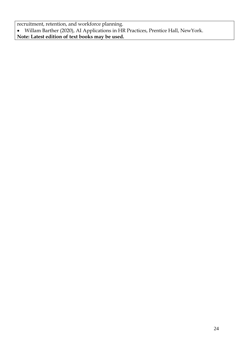recruitment, retention, and workforce planning. Willam Barther (2020), AI Applications in HR Practices, Prentice Hall, NewYork. **Note: Latest edition of text books may be used.**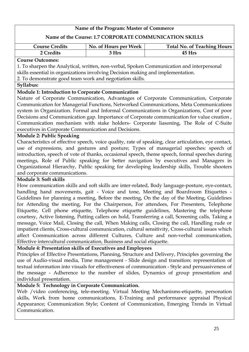### **Name of the Course: 1.7 CORPORATE COMMUNICATION SKILLS**

| <b>Course Credits</b> | No. of Hours per Week | <b>Total No. of Teaching Hours</b> |
|-----------------------|-----------------------|------------------------------------|
| 2 Credits             | र Hrs                 | $45$ Hrs                           |

### **Course Outcomes:**

1. To sharpen the Analytical, written, non-verbal, Spoken Communication and interpersonal skills essential in organizations involving Decision making and implementation.

2. To demonstrate good team work and negotiation skills.

### **Syllabus:**

### **Module 1: Introduction to Corporate Communication**

Nature of Corporate Communication, Advantages of Corporate Communication, Corporate Communication for Managerial Functions, Networked Communications, Meta Communications system in Organization. Formal and Informal Communications in Organizations, Cost of poor Decisions and Communication gap. Importance of Corporate communication for value creation , Communication mechanism with stake holders- Corporate liasoning, The Role of C-Suite executives in Corporate Communication and Decisions.

### **Module 2: Public Speaking**

Characteristics of effective speech, voice quality, rate of speaking, clear articulation, eye contact, use of expressions, and gestures and posture; Types of managerial speeches: speech of introduction, speech of vote of thanks, occasional speech, theme speech, formal speeches during meetings, Role of Public speaking for better navigation by executives and Managers in Organizational Hierarchy, Public speaking for developing leadership skills, Trouble shooters and corporate communications.

### **Module 3: Soft skills**

How communication skills and soft skills are inter-related, Body language-posture, eye-contact, handling hand movements, gait - Voice and tone, Meeting and Boardroom Etiquettes - Guidelines for planning a meeting, Before the meeting, On the day of the Meeting, Guidelines for Attending the meeting, For the Chairperson, For attendees, For Presenters, Telephone Etiquette, Cell phone etiquette, Telephone etiquette guidelines, Mastering the telephone courtesy, Active listening, Putting callers on hold, Transferring a call, Screening calls, Taking a message, Voice Mail, Closing the call, When Making calls, Closing the call, Handling rude or impatient clients, Cross-cultural communication, cultural sensitivity, Cross-cultural issues which affect Communication across different Cultures, Culture and non-verbal communication, Effective intercultural communication, Business and social etiquette.

### **Module 4: Presentation skills of Executives and Employees**

Principles of Effective Presentations, Planning, Structure and Delivery, Principles governing the use of Audio-visual media, Time management - Slide design and transition: representation of textual information into visuals for effectiveness of communication - Style and persuasiveness of the message - Adherence to the number of slides, Dynamics of group presentation and individual presentation.

### **Module 5: Technology in Corporate Communication.**

Web /video conferencing, tele-meeting. Virtual Meeting Mechanisms-etiquette, personation skills, Work from home communications, E-Training and performance appraisal Physical Appearance; Communication Style; Content of Communication, Emerging Trends in Virtual Communication.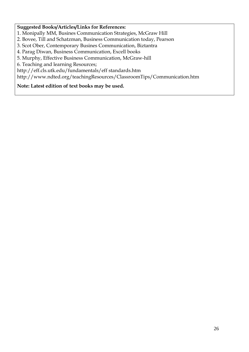### **Suggested Books/Articles/Links for References:**

1. Monipally MM, Busines Communication Strategies, McGraw Hill

2. Bovee, Till and Schatzman, Business Communication today, Pearson

3. Scot Ober, Contemporary Busines Communication, Biztantra

4. Parag Diwan, Business Communication, Excell books

5. Murphy, Effective Business Communication, McGraw-hill

6. Teaching and learning Resources;

http://eff.cls.utk.edu/fundamentals/eff standards.htm

http://www.ndted.org/teachingResources/ClassroomTips/Communication.htm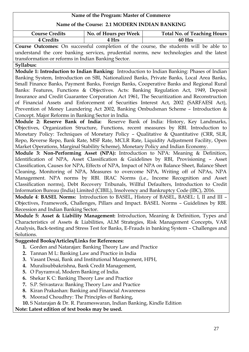| Name of the Program: Master of Commerce                                                    |                                                  |                                                                                               |  |  |
|--------------------------------------------------------------------------------------------|--------------------------------------------------|-----------------------------------------------------------------------------------------------|--|--|
| Name of the Course: 2.1 MODERN INDIAN BANKING                                              |                                                  |                                                                                               |  |  |
| <b>Course Credits</b>                                                                      | No. of Hours per Week                            | <b>Total No. of Teaching Hours</b>                                                            |  |  |
| 4 Credits                                                                                  | 4 Hrs                                            | 60 Hrs                                                                                        |  |  |
|                                                                                            |                                                  | Course Outcomes: On successful completion of the course, the students will be able to         |  |  |
|                                                                                            |                                                  | understand the core banking services, prudential norms, new technologies and the latest       |  |  |
| transformation or reforms in Indian Banking Sector.                                        |                                                  |                                                                                               |  |  |
| Syllabus:                                                                                  |                                                  |                                                                                               |  |  |
|                                                                                            |                                                  | Module 1: Introduction to Indian Banking: Introduction to Indian Banking: Phases of Indian    |  |  |
|                                                                                            |                                                  | Banking System, Introduction on SBI, Nationalized Banks, Private Banks, Local Area Banks,     |  |  |
|                                                                                            |                                                  | Small Finance Banks, Payment Banks, Foreign Banks, Cooperative Banks and Regional Rural       |  |  |
|                                                                                            |                                                  | Banks: Features, Functions & Objectives. Acts: Banking Regulation Act, 1949, Deposit          |  |  |
|                                                                                            |                                                  | Insurance and Credit Guarantee Corporation Act 1961, The Securitization and Reconstruction    |  |  |
|                                                                                            |                                                  | of Financial Assets and Enforcement of Securities Interest Act, 2002 (SARFAESI Act),          |  |  |
|                                                                                            |                                                  | Prevention of Money Laundering Act 2002, Banking Ombudsman Scheme - Introduction &            |  |  |
| Concept. Major Reforms in Banking Sector in India.                                         |                                                  |                                                                                               |  |  |
|                                                                                            |                                                  | Module 2: Reserve Bank of India: Reserve Bank of India: History, Key Landmarks,               |  |  |
|                                                                                            |                                                  | Objectives, Organization Structure, Functions, recent measures by RBI. Introduction to        |  |  |
| Monetary Policy: Techniques of Monetary Policy - Qualitative & Quantitative (CRR, SLR,     |                                                  |                                                                                               |  |  |
| Repo, Reverse Repo, Bank Rate, MSF Rate, MCLR Rate, Liquidity Adjustment Facility, Open    |                                                  |                                                                                               |  |  |
| Market Operations, Marginal Stability Scheme), Monetary Policy and Indian Economy.         |                                                  |                                                                                               |  |  |
|                                                                                            |                                                  | Module 3: Non-Performing Asset (NPA): Introduction to NPA: Meaning & Definition,              |  |  |
|                                                                                            |                                                  | Identification of NPA, Asset Classification & Guidelines by RBI, Provisioning - Asset         |  |  |
|                                                                                            |                                                  | Classification, Causes for NPA, Effects of NPA, Impact of NPA on Balance Sheet, Balance Sheet |  |  |
|                                                                                            |                                                  | Cleaning, Monitoring of NPA, Measures to overcome NPA, Writing off of NPAs, NPA               |  |  |
| Management. NPA norms by RBI. IRAC Norms (i.e., Income Recognition and Asset               |                                                  |                                                                                               |  |  |
| Classification norms), Debt Recovery Tribunals, Willful Defaulters, Introduction to Credit |                                                  |                                                                                               |  |  |
| Information Bureau (India) Limited (CIBIL), Insolvency and Bankruptcy Code (IBC), 2016.    |                                                  |                                                                                               |  |  |
|                                                                                            |                                                  | Module 4: BASEL Norms: Introduction to BASEL, History of BASEL, BASEL: I, II and III -        |  |  |
|                                                                                            |                                                  | Objectives, Framework, Challenges, Pillars and Impact. BASEL Norms - Guidelines by RBI.       |  |  |
| Recession and Indian Banking Sector.                                                       |                                                  |                                                                                               |  |  |
|                                                                                            |                                                  | Module 5: Asset & Liability Management: Introduction, Meaning & Definition, Types and         |  |  |
|                                                                                            |                                                  | Characteristics of Assets & Liabilities, ALM Strategies, Risk Management Concepts, VAR        |  |  |
|                                                                                            |                                                  | Analysis, Back-testing and Stress Test for Banks, E-Frauds in banking System - Challenges and |  |  |
| Solutions.                                                                                 |                                                  |                                                                                               |  |  |
| <b>Suggested Books/Articles/Links for References:</b>                                      |                                                  |                                                                                               |  |  |
| 1. Gorden and Natarajan: Banking Theory Law and Practice                                   |                                                  |                                                                                               |  |  |
| Tannan M L: Banking Law and Practice in India<br>2.                                        |                                                  |                                                                                               |  |  |
| 3. Vasant Desai, Bank and Institutional Management, HPH,                                   |                                                  |                                                                                               |  |  |
| Muralisubbakrishna, Bank Credit Management,<br>4.                                          |                                                  |                                                                                               |  |  |
| O Payramval, Modern Banking of India.<br>5.                                                |                                                  |                                                                                               |  |  |
| Shekar K C: Banking Theory Law and Practice<br>6.                                          |                                                  |                                                                                               |  |  |
| 7.                                                                                         | S.P. Srivastava: Banking Theory Law and Practice |                                                                                               |  |  |
| 8.                                                                                         | Kiran Prakashan: Banking and Financial Awareness |                                                                                               |  |  |

- **9.** Moorad Choudhry: The Principles of Banking,
- **10.** S Natarajan & Dr. R. Parameswaran, Indian Banking, Kindle Edition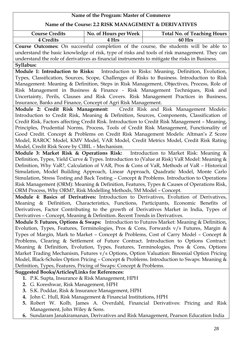| Name of the Program: Master of Commerce                                                      |                                                             |                                                                                                |  |  |
|----------------------------------------------------------------------------------------------|-------------------------------------------------------------|------------------------------------------------------------------------------------------------|--|--|
| Name of the Course: 2.2 RISK MANAGEMENT & DERIVATIVES                                        |                                                             |                                                                                                |  |  |
| <b>Course Credits</b>                                                                        | No. of Hours per Week                                       | <b>Total No. of Teaching Hours</b>                                                             |  |  |
| <b>4 Credits</b>                                                                             | 4 Hrs                                                       | 60 Hrs                                                                                         |  |  |
|                                                                                              |                                                             | Course Outcomes: On successful completion of the course, the students will be able to          |  |  |
|                                                                                              |                                                             | understand the basic knowledge of risk, type of risks and tools of risk management. They can   |  |  |
|                                                                                              |                                                             | understand the role of derivatives as financial instruments to mitigate the risks in Business. |  |  |
| Syllabus:                                                                                    |                                                             |                                                                                                |  |  |
|                                                                                              |                                                             | Module 1: Introduction to Risks: Introduction to Risks: Meaning, Definition, Evolution,        |  |  |
|                                                                                              |                                                             | Types, Classification, Sources, Scope, Challenges of Risks to Business. Introduction to Risk   |  |  |
|                                                                                              |                                                             | Management: Meaning & Definition, Steps in Risk Management, Objectives, Process, Role of       |  |  |
|                                                                                              |                                                             | Risk Management in Business & Finance - Risk Management Techniques, Risk and                   |  |  |
|                                                                                              |                                                             | Uncertainty, Perils, Clauses and Risk Covers. Risk Management Practices in Business,           |  |  |
| Insurance, Banks and Finance, Concept of Agri Risk Management.                               |                                                             |                                                                                                |  |  |
|                                                                                              |                                                             | Module 2: Credit Risk Management: Credit Risk and Risk Management Models:                      |  |  |
|                                                                                              |                                                             | Introduction to Credit Risk, Meaning & Definition, Sources, Components, Classification of      |  |  |
|                                                                                              |                                                             | Credit Risk, Factors affecting Credit Risk. Introduction to Credit Risk Management - Meaning,  |  |  |
|                                                                                              |                                                             | Principles, Prudential Norms, Process, Tools of Credit Risk Management, Functionality of       |  |  |
|                                                                                              |                                                             | Good Credit. Concept & Problems on Credit Risk Management Models: Altman's Z Score             |  |  |
|                                                                                              |                                                             | Model, RAROC Model, KMV Model, VAR Model, Credit Metrics Model, Credit Risk Rating             |  |  |
| Model, Credit Risk Score by CIBIL - Mechanism.                                               |                                                             |                                                                                                |  |  |
|                                                                                              |                                                             | Module 3: Market Risk & Operations Risk: Introduction to Market Risk: Meaning &                |  |  |
| Definition, Types, Yield Curve & Types. Introduction to (Value at Risk) VaR Model: Meaning & |                                                             |                                                                                                |  |  |
| Definition, Why VaR?, Calculation of VAR, Pros & Cons of VaR, Methods of VaR - Historical    |                                                             |                                                                                                |  |  |
|                                                                                              |                                                             | Simulation, Model Building Approach, Linear Approach, Quadratic Model, Monte Carlo             |  |  |
|                                                                                              |                                                             | Simulation, Stress Testing and Back Testing - Concept & Problems. Introduction to Operations   |  |  |
|                                                                                              |                                                             | Risk Management (ORM): Meaning & Definition, Features, Types & Causes of Operations Risk,      |  |  |
| ORM Process, Why ORM?, Risk Modelling Methods, 5M Model - Concept.                           |                                                             |                                                                                                |  |  |
|                                                                                              |                                                             | Module 4: Basics of Derivatives: Introduction to Derivatives, Evolution of Derivatives,        |  |  |
|                                                                                              |                                                             | Meaning & Definition, Characteristics, Functions, Participants, Economic Benefits of           |  |  |
|                                                                                              |                                                             | Derivatives, Factor Contributing to the growth of Derivatives Market in India, Types of        |  |  |
| Derivatives - Concept, Meaning & Definition. Recent Trends in Derivatives.                   |                                                             |                                                                                                |  |  |
|                                                                                              |                                                             | Module 5: Futures, Options & Swaps: Introduction to Futures Market: Meaning & Definition,      |  |  |
|                                                                                              |                                                             | Evolution, Types, Features, Terminologies, Pros & Cons, Forwards v/s Futures, Margin &         |  |  |
| Types of Margin, Mark to Market - Concept & Problems, Cost of Carry Model - Concept &        |                                                             |                                                                                                |  |  |
|                                                                                              |                                                             | Problems, Clearing & Settlement of Future Contract. Introduction to Options Contract:          |  |  |
| Meaning & Definition, Evolution, Types, Features, Terminologies, Pros & Cons, Options        |                                                             |                                                                                                |  |  |
| Market Trading Mechanism, Futures v/s Options, Option Valuation: Binomial Option Pricing     |                                                             |                                                                                                |  |  |
| Model, Black-Scholes Option Pricing - Concept & Problems. Introduction to Swaps: Meaning &   |                                                             |                                                                                                |  |  |
| Definition, Types, Features, Pricing of Swaps: Concept & Problems.                           |                                                             |                                                                                                |  |  |
| <b>Suggested Books/Articles/Links for References:</b>                                        |                                                             |                                                                                                |  |  |
| 1. P.K. Supta, Insurance & Risk Management, HPH                                              |                                                             |                                                                                                |  |  |
| 2. G. Koreshwar, Risk Management, HPH                                                        |                                                             |                                                                                                |  |  |
| 3. S.K. Poddar, Risk & Insurance Management, HPH                                             |                                                             |                                                                                                |  |  |
| 4.                                                                                           | John C. Hull, Risk Management & Financial Institutions, HPH |                                                                                                |  |  |
| 5.                                                                                           |                                                             | Robert W. Kolb, James A. Overdahl, Financial Derivatives: Pricing and Risk                     |  |  |
| Management, John Wiley & Sons.                                                               |                                                             |                                                                                                |  |  |
|                                                                                              |                                                             | 6. Sundaram Janakiramanan, Derivatives and Risk Management, Pearson Education India            |  |  |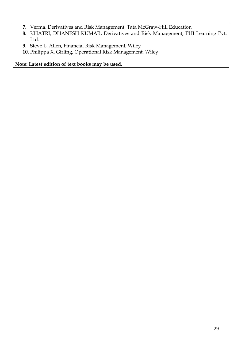- **7.** Verma, Derivatives and Risk Management, Tata McGraw-Hill Education
- **8.** KHATRI, DHANESH KUMAR, Derivatives and Risk Management, PHI Learning Pvt. Ltd.
- **9.** Steve L. Allen, Financial Risk Management, Wiley
- **10.** Philippa X. Girling, Operational Risk Management, Wiley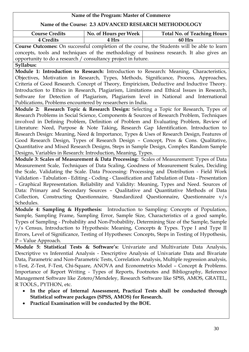| Name of the Program: Master of Commerce                                                                                                                                            |                                                                                           |                                                                                                   |  |  |
|------------------------------------------------------------------------------------------------------------------------------------------------------------------------------------|-------------------------------------------------------------------------------------------|---------------------------------------------------------------------------------------------------|--|--|
| Name of the Course: 2.3 ADVANCED RESEARCH METHODOLOGY                                                                                                                              |                                                                                           |                                                                                                   |  |  |
| <b>Course Credits</b>                                                                                                                                                              | No. of Hours per Week                                                                     | <b>Total No. of Teaching Hours</b>                                                                |  |  |
| <b>4 Credits</b>                                                                                                                                                                   | 4 Hrs                                                                                     | 60 Hrs                                                                                            |  |  |
|                                                                                                                                                                                    |                                                                                           | Course Outcomes: On successful completion of the course, the Students will be able to learn       |  |  |
|                                                                                                                                                                                    |                                                                                           | concepts, tools and techniques of the methodology of business research. It also gives an          |  |  |
| opportunity to do a research / consultancy project in future.                                                                                                                      |                                                                                           |                                                                                                   |  |  |
| Syllabus:                                                                                                                                                                          |                                                                                           |                                                                                                   |  |  |
|                                                                                                                                                                                    |                                                                                           | Module 1: Introduction to Research: Introduction to Research: Meaning, Characteristics,           |  |  |
|                                                                                                                                                                                    |                                                                                           | Objectives, Motivation in Research, Types, Methods, Significance, Process, Approaches,            |  |  |
|                                                                                                                                                                                    |                                                                                           | Criteria of Good Research. Concept of Theory, Empiricism, Deductive and Inductive Theory.         |  |  |
|                                                                                                                                                                                    |                                                                                           | Introduction to Ethics in Research, Plagiarism, Limitations and Ethical Issues in Research,       |  |  |
|                                                                                                                                                                                    |                                                                                           | Software for Detection of Plagiarism, Plagiarism level in National and International              |  |  |
| Publications, Problems encountered by researchers in India.                                                                                                                        |                                                                                           |                                                                                                   |  |  |
|                                                                                                                                                                                    |                                                                                           | Module 2: Research Topic & Research Design: Selecting a Topic for Research, Types of              |  |  |
|                                                                                                                                                                                    |                                                                                           | Research Problems in Social Science, Components & Sources of Research Problem, Techniques         |  |  |
|                                                                                                                                                                                    |                                                                                           | involved in Defining Problem, Definition of Problem and Evaluating Problem, Review of             |  |  |
|                                                                                                                                                                                    |                                                                                           | Literature: Need, Purpose & Note Taking, Research Gap Identification. Introduction to             |  |  |
|                                                                                                                                                                                    | Research Design: Meaning, Need & Importance, Types & Uses of Research Design, Features of |                                                                                                   |  |  |
| Good Research Design, Types of Research Design - Concept, Pros & Cons. Qualitative,                                                                                                |                                                                                           |                                                                                                   |  |  |
| Quantitative and Mixed Research Designs, Steps in Sample Design, Complex Random Sample                                                                                             |                                                                                           |                                                                                                   |  |  |
| Designs, Variables in Research: Introduction, Meaning, Types.                                                                                                                      |                                                                                           |                                                                                                   |  |  |
| Module 3: Scales of Measurement & Data Processing: Scales of Measurement: Types of Data<br>Measurement Scale, Techniques of Data Scaling, Goodness of Measurement Scales, Deciding |                                                                                           |                                                                                                   |  |  |
|                                                                                                                                                                                    |                                                                                           | the Scale, Validating the Scale. Data Processing: Processing and Distribution - Field Work        |  |  |
|                                                                                                                                                                                    |                                                                                           | Validation - Tabulation - Editing - Coding - Classification and Tabulation of Data - Presentation |  |  |
|                                                                                                                                                                                    |                                                                                           | - Graphical Representation. Reliability and Validity: Meaning, Types and Need. Sources of         |  |  |
|                                                                                                                                                                                    |                                                                                           | Data: Primary and Secondary Sources - Qualitative and Quantitative Methods of Data                |  |  |
|                                                                                                                                                                                    |                                                                                           | Collection, Constructing Questionnaire, Standardized Questionnaire, Questionnaire v/s             |  |  |
| Schedules.                                                                                                                                                                         |                                                                                           |                                                                                                   |  |  |
|                                                                                                                                                                                    |                                                                                           | Module 4: Sampling & Hypothesis: Introduction to Sampling: Concepts of Population,                |  |  |
|                                                                                                                                                                                    |                                                                                           | Sample, Sampling Frame, Sampling Error, Sample Size, Characteristics of a good sample,            |  |  |
|                                                                                                                                                                                    |                                                                                           | Types of Sampling - Probability and Non-Probability, Determining Size of the Sample, Sample       |  |  |
|                                                                                                                                                                                    |                                                                                           | v/s Census, Introduction to Hypothesis: Meaning, Concepts & Types. Type I and Type II             |  |  |
|                                                                                                                                                                                    |                                                                                           | Errors, Level of Significance, Testing of Hypotheses: Concepts, Steps in Testing of Hypothesis,   |  |  |
| P - Value Approach.                                                                                                                                                                |                                                                                           |                                                                                                   |  |  |
|                                                                                                                                                                                    |                                                                                           | Module 5: Statistical Tests & Software's: Univariate and Multivariate Data Analysis,              |  |  |
|                                                                                                                                                                                    |                                                                                           | Descriptive vs Inferential Analysis - Descriptive Analysis of Univariate Data and Bivariate       |  |  |
|                                                                                                                                                                                    |                                                                                           | Data, Parametric and Non-Parametric Tests, Correlation Analysis, Multiple regression analysis,    |  |  |
|                                                                                                                                                                                    |                                                                                           | t-Test, Z-Test, F-Test, Chi-Square, ANOVA and Econometrics Model - Concept & Problems.            |  |  |
|                                                                                                                                                                                    |                                                                                           | Importance of Report Writing - Types of Reports, Footnotes and Bibliography, Reference            |  |  |
|                                                                                                                                                                                    |                                                                                           | Management Software like Zotero/Mendeley, Research Software like SPSS, AMOS, GRATEL,              |  |  |
| R TOOLS., PYTHON, etc.                                                                                                                                                             |                                                                                           |                                                                                                   |  |  |
| In the place of Internal Assessment, Practical Tests shall be conducted through                                                                                                    |                                                                                           |                                                                                                   |  |  |
|                                                                                                                                                                                    | Statistical software packages (SPSS, AMOS) for Research.                                  |                                                                                                   |  |  |

**Practical Examination will be conducted by the BOE.**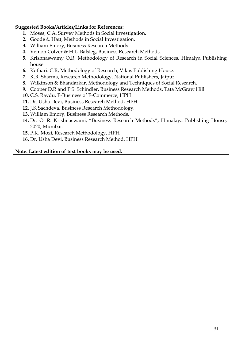### **Suggested Books/Articles/Links for References:**

- **1.** Moses, C.A. Survey Methods in Social Investigation.
- **2.** Goode & Hatt, Methods in Social Investigation.
- **3.** William Emory, Business Research Methods.
- **4.** Vemon Colver & H.L. Balsleg, Business Research Methods.
- **5.** Krishnaswamy O.R, Methodology of Research in Social Sciences, Himalya Publishing house.
- **6.** Kothari. C.R, Methodology of Research, Vikas Publishing House.
- **7.** K.R. Sharma, Research Methodology, National Publishers, Jaipur.
- **8.** Wilkinson & Bhandarkar, Methodology and Techniques of Social Research.
- **9.** Cooper D.R and P.S. Schindler, Business Research Methods, Tata McGraw Hill.
- **10.** C.S. Raydu, E-Business of E-Commerce, HPH
- **11.** Dr. Usha Devi, Business Research Method, HPH
- **12.** J.K Sachdeva, Business Research Methodology,
- **13.** William Emory, Business Research Methods.
- **14.** Dr. O. R. Krishnaswami, "Business Research Methods", Himalaya Publishing House, 2020, Mumbai.
- **15.** P.K. Mozi, Research Methodology, HPH
- **16.** Dr. Usha Devi, Business Research Method, HPH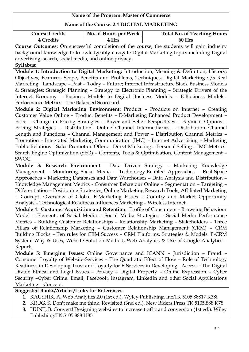### **Name of the Course: 2.4 DIGITAL MARKETING**

| <b>Course Credits</b> | No. of Hours per Week | <b>Total No. of Teaching Hours</b> |
|-----------------------|-----------------------|------------------------------------|
| 4 Credits             | <b>Hrs</b>            | 60 Hrs                             |

**Course Outcomes:** On successful completion of the course, the students will gain industry background knowledge to knowledgeably navigate Digital Marketing topics including Digital advertising, search, social media, and online privacy.

**Syllabus:**

**Module 1: Introduction to Digital Marketing:** Introduction, Meaning & Definition, History, Objectives, Features, Scope, Benefits and Problems, Techniques, Digital Marketing v/s Real Marketing. Landscape – Past – Today – Future; Internet Infrastructure Stack Business Models & Strategies: Strategic Planning – Strategy to Electronic Planning – Strategic Drivers of the Internet Economy – Business Models to Digital Business Models – E-Business Models– Performance Metrics – The Balanced Scorecard.

**Module 2: Digital Marketing Environment:** Product – Products on Internet – Creating Customer Value Online – Product Benefits – E-Marketing Enhanced Product Development – Price – Change in Pricing Strategies – Buyer and Seller Perspectives – Payment Options – Pricing Strategies – Distribution– Online Channel Intermediaries – Distribution Channel Length and Functions – Channel Management and Power – Distribution Channel Metrics – Promotion – Integrated Marketing Communication (IMC) – Internet Advertising – Marketing Public Relations – Sales Promotion Offers – Direct Marketing – Personal Selling – IMC Metrics-Search Engine Optimization (SEO) – Contents, Tools & Optimization. Content Management – SWOC.

**Module 3: Research Environment:** Data Driven Strategy – Marketing Knowledge Management – Monitoring Social Media – Technology-Enabled Approaches – Real-Space Approaches – Marketing Databases and Data Warehouses – Data Analysis and Distribution – Knowledge Management Metrics - Consumer Behaviour Online – Segmentation – Targeting – Differentiation – Positioning Strategies, Online Marketing Research Tools, Affiliated Marketing – Concept. Overview of Global E-Marketing Issues – Country and Market Opportunity Analysis – Technological Readiness Influences Marketing – Wireless Internet.

**Module 4**: **Customer Acquisition and Retention:** Profile of Consumers – Browsing Behaviour Model – Elements of Social Media – Social Media Strategies – Social Media Performance Metrics – Building Customer Relationships – Relationship Marketing – Stakeholders – Three Pillars of Relationship Marketing – Customer Relationship Management (CRM) – CRM Building Blocks – Ten rules for CRM Success – CRM Platforms, Strategies & Models. E-CRM System: Why & Uses, Website Solution Method, Web Analytics & Use of Google Analytics – Reports.

**Module 5: Emerging Issues:** Online Governance and ICANN – Jurisdiction – Fraud – Consumer Loyalty of Website-Services – The Quadratic Effect of Flow – Role of Technology Readiness in Developing Trust and Loyalty for E-Services in Developing. Access – The Digital Divide Ethical and Legal Issues – Privacy – Digital Property – Online Expression – Cyber Security –Cyber Crime. Email, Facebook, Instagram, LinkedIn and other Social Applications Marketing – Concept.

### **Suggested Books/Articles/Links for References:**

- **1.** KAUSHIK, A, Web Analytics 2.0 (1st ed.). Wyley Publishing, Inc.TK 5105.88817 K38i
- **2.** KRUG, S, Don't make me think, Revisited (3nd ed.). New Riders Press TK 5105.888 K78
- **3.** HUNT, B. Convert! Designing websites to increase traffic and conversion (1st ed.). Wiley Publishing.TK 5105.888 H85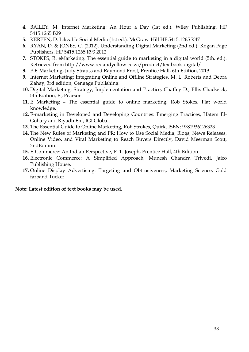- **4.** BAILEY. M, Internet Marketing: An Hour a Day (1st ed.). Wiley Publishing. HF 5415.1265 B29
- **5.** KERPEN, D. Likeable Social Media (1st ed.). McGraw-Hill HF 5415.1265 K47
- **6.** RYAN, D. & JONES, C. (2012). Understanding Digital Marketing (2nd ed.). Kogan Page Publishers. HF 5415.1265 R93 2012
- **7.** STOKES, R. eMarketing. The essential guide to marketing in a digital world (5th. ed.). Retrieved from http://www.redandyellow.co.za/product/textbook-digital/
- **8.** P E-Marketing, Judy Strauss and Raymond Frost, Prentice Hall, 6th Edition, 2013
- **9.** Internet Marketing: Integrating Online and Offline Strategies. M. L. Roberts and Debra Zahay, 3rd edition, Cengage Publishing.
- **10.** Digital Marketing: Strategy, Implementation and Practice, Chaffey D., Ellis-Chadwick, 5th Edition, F., Pearson.
- **11.** E Marketing The essential guide to online marketing, Rob Stokes, Flat world knowledge.
- **12.** E-marketing in Developed and Developing Countries: Emerging Practices, Hatem El-Gohary and Riyadh Eid, IGI Global.
- **13.** The Essential Guide to Online Marketing, Rob Strokes, Quirk, ISBN: 9781936126323
- **14.** The New Rules of Marketing and PR: How to Use Social Media, Blogs, News Releases, Online Video, and Viral Marketing to Reach Buyers Directly, David Meerman Scott, 2ndEdition.
- **15.** E-Commerce: An Indian Perspective, P. T. Joseph, Prentice Hall, 4th Edition.
- **16.** Electronic Commerce: A Simplified Approach, Munesh Chandra Trivedi, Jaico Publishing House.
- **17.** Online Display Advertising: Targeting and Obtrusiveness, Marketing Science, Gold farband Tucker.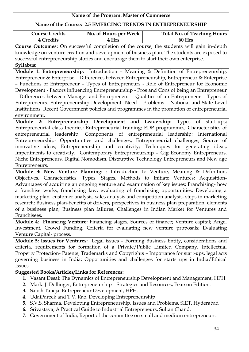### **Name of the Program: Master of Commerce Name of the Course: 2.5 EMERGING TRENDS IN ENTREPRENEURSHIP** Course Credits  $\vert$  No. of Hours per Week  $\vert$  Total No. of Teaching Hours **4 Credits 4 Hrs 60 Hrs Course Outcomes:** On successful completion of the course, the students will gain in-depth knowledge on venture creation and development of business plan. The students are exposed to successful entrepreneurship stories and encourage them to start their own enterprise. **Syllabus: Module 1: Entrepreneurship:** Introduction – Meaning & Definition of Entrepreneurship, Entrepreneur & Enterprise – Differences between Entrepreneurship, Entrepreneur & Enterprise – Functions of Entrepreneur – Types of Entrepreneurs - Role of Entrepreneur for Economic Development - Factors influencing Entrepreneurship - Pros and Cons of being an Entrepreneur – Differences between Manager and Entrepreneur – Qualities of an Entrepreneur – Types of Entrepreneurs. Entrepreneurship Development- Need – Problems – National and State Level Institutions, Recent Government policies and programmes in the promotion of entrepreneurial environment. **Module 2: Entrepreneurship Development and Leadership:** Types of start-ups; Entrepreneurial class theories; Entrepreneurial training; EDP programmes; Characteristics of entrepreneurial leadership, Components of entrepreneurial leadership; International Entrepreneurship- Opportunities and challenges; Entrepreneurial challenges; Source of innovative ideas; Entrepreneurship and creativity; Techniques for generating ideas, Impediments to creativity, Contemporary Entrepreneurship – Gig Economy Entrepreneurs, Niche Entrepreneurs, Digital Nomodism, Distruptive Technology Entrepreneurs and New age Entrepreneurs.

**Module 3: New Venture Planning:** : Introduction to Venture, Meaning & Definition, Objectives, Characteristics, Types, Stages, Methods to Initiate Ventures; Acquisition-Advantages of acquiring an ongoing venture and examination of key issues; Franchising- how a franchise works, franchising law, evaluating of franchising opportunities; Developing a marketing plan- customer analysis, sales analysis and competition analysis, steps in marketing research; Business plan-benefits of drivers, perspectives in business plan preparation, elements of a business plan; Business plan failures, Challenges in Indian Market for Ventures and Franchisees.

**Module 4**: **Financing Venture:** Financing stages; Sources of finance; Venture capital; Angel Investment, Crowd Funding; Criteria for evaluating new venture proposals; Evaluating Venture Capital- process.

**Module 5: Issues for Ventures:** Legal issues – Forming Business Entity, considerations and criteria, requirements for formation of a Private/Public Limited Company, Intellectual Property Protection- Patents, Trademarks and Copyrights – Importance for start-ups, legal acts governing business in India; Opportunities and challenges for starts ups in India/Ethical Issues.

### **Suggested Books/Articles/Links for References:**

- **1.** Vasant Desai: The Dynamics of Entrepreneurship Development and Management, HPH
- **2.** Mark. J. Dollinger, Entrepreneurship Strategies and Resources, Pearson Edition.
- **3.** Satish Taneja: Entrepreneur Development, HPH.
- **4.** UdaiPareek and T.V. Rao, Developing Entrepreneurship
- **5.** S.V.S. Sharma, Developing Entrepreneurship, Issues and Problems, SIET, Hyderabad
- **6.** Srivastava, A Practical Guide to Industrial Entrepreneurs, Sultan Chand.
- **7.** Government of India, Report of the committee on small and medium entrepreneurs.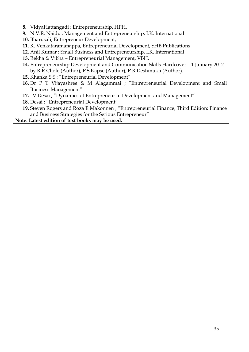- **8.** VidyaHattangadi ; Entrepreneurship, HPH.
- **9.** N.V.R. Naidu : Management and Entrepreneurship, I.K. International
- **10.** Bharusali, Entrepreneur Development,
- **11.** K. Venkataramanappa, Entrepreneurial Development, SHB Publications
- **12.** Anil Kumar : Small Business and Entrepreneurship, I.K. International
- **13.** Rekha & Vibha Entrepreneurial Management, VBH.
- **14.** Entrepreneurship Development and Communication Skills Hardcover 1 January 2012 by R R Chole (Author), P S Kapse (Author), P R Deshmukh (Author).
- **15.** Khanka S S : "Entrepreneurial Development"
- **16.** Dr P T Vijayashree & M Alagammai ; "Entrepreneurial Development and Small Business Management"
- **17.** V Desai ; "Dynamics of Entrepreneurial Development and Management"
- **18.** Desai ; "Entrepreneurial Development"
- **19.** Steven Rogers and Roza E Makonnen ; "Entrepreneurial Finance, Third Edition: Finance and Business Strategies for the Serious Entrepreneur"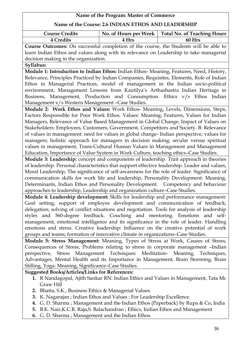| Name of the Program: Master of Commerce                                                       |                       |                                    |
|-----------------------------------------------------------------------------------------------|-----------------------|------------------------------------|
| Name of the Course: 2.6 INDIAN ETHOS AND LEADERSHIP                                           |                       |                                    |
| <b>Course Credits</b>                                                                         | No. of Hours per Week | <b>Total No. of Teaching Hours</b> |
| 4 Credits                                                                                     | 4 Hrs                 | 60 Hrs                             |
| Course Outcomes: On successful completion of the course, the Students will be able to         |                       |                                    |
| learn Indian Ethos and values along with its relevance on Leadership to take managerial       |                       |                                    |
| decision making in the organization.                                                          |                       |                                    |
| Syllabus:                                                                                     |                       |                                    |
| Module 1: Introduction to Indian Ethos: Indian Ethos- Meaning, Features, Need, History,       |                       |                                    |
| Relevance, Principles Practiced by Indian Companies, Requisites, Elements, Role of Indian     |                       |                                    |
| Ethos in Managerial Practices, model of management in the Indian socio-political              |                       |                                    |
| environment, Management Lessons from Kautilya's Arthashastra Indian Heritage in               |                       |                                    |
| Business, Management, Production and Consumption. Ethics v/s Ethos Indian                     |                       |                                    |
| Management v/s Western Management - Case Studies.                                             |                       |                                    |
| Module 2: Work Ethos and Values: Work Ethos- Meaning, Levels, Dimensions, Steps,              |                       |                                    |
| Factors Responsible for Poor Work Ethos. Values: Meaning, Features, Values for Indian         |                       |                                    |
| Managers, Relevance of Value Based Management in Global Change, Impact of Values on           |                       |                                    |
| Stakeholders: Employees, Customers, Government, Competitors and Society. B: Relevance         |                       |                                    |
| of values in management: need for values in global change- Indian perspective; values for     |                       |                                    |
| managers; holistic approach for managers in decision making; secular versus spiritual         |                       |                                    |
| values in management, Trans-Cultural Human Values in Management and Management                |                       |                                    |
| Education, Importance of Value System in Work Culture, teaching ethics-Case Studies.          |                       |                                    |
| Module 3: Leadership: concept and components of leadership. Trait approach in theories        |                       |                                    |
| of leadership. Personal characteristics that support effective leadership. Leader and values, |                       |                                    |
| Moral Leadership, The significance of self-awareness for the role of leader. Significance of  |                       |                                    |
| communication skills for work life and leadership, Personality Development: Meaning,          |                       |                                    |
| Determinants, Indian Ethos and Personality Development. Competency and behaviour              |                       |                                    |
| approaches to leadership, Leadership and organization culture-Case Studies.                   |                       |                                    |
| Module 4: Leadership development: Skills for leadership and performance management:           |                       |                                    |
| Goal setting, support of employee development and communication of feedback;                  |                       |                                    |
| delegation; solving of conflict situations and negotiation. Tools for analysis of leadership  |                       |                                    |
| styles and 360-degree feedback. Couching and mentoring. Emotions and self-                    |                       |                                    |
| management, emotional intelligence and its significance in the role of leader. Handling       |                       |                                    |
| emotions and stress. Creative leadership: Influence on the creative potential of work         |                       |                                    |
| groups and teams; formation of innovative climate in organizations-Case Studies.              |                       |                                    |
| Module 5: Stress Management: Meaning, Types of Stress at Work, Causes of Stress,              |                       |                                    |
| Consequences of Stress, Problems relating to stress in corporate management -Indian           |                       |                                    |
| perspective, Stress Management Techniques: Meditation- Meaning, Techniques,                   |                       |                                    |
| Advantages, Mental Health and its Importance in Management, Brain Storming, Brain             |                       |                                    |
| Stilling, Yoga: Meaning, Significance-Case Studies.                                           |                       |                                    |
| <b>Suggested Books/Articles/Links for References:</b>                                         |                       |                                    |
| 1. R Nandagopal, Ajith Sankar RN: Indian Ethics and Values in Management, Tata Mc             |                       |                                    |
| Graw Hill                                                                                     |                       |                                    |
| <b>2.</b> Bhatta, S.K., Business Ethics & Managerial Values.                                  |                       |                                    |
| K. Nagarajan ; Indian Ethos and Values : For Leadership Excellence<br>3.                      |                       |                                    |
| G. D. Sharma; Management and the Indian Ethos (Paperback) by Rupa & Co, India<br>4.           |                       |                                    |
| B.K. Nair, K.C.R. Raja, S. Balachandran; Ethics, Indian Ethos and Management<br>5.            |                       |                                    |
| 6. G. D. Sharma; Management and the Indian Ethos.                                             |                       |                                    |

┑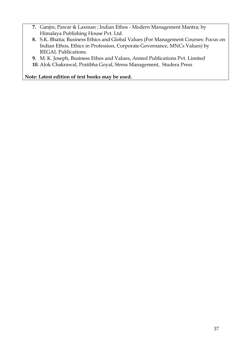- **7.** Ganjre, Pawar & Laxman ; Indian Ethos Modern Management Mantra; by Himalaya Publishing House Pvt. Ltd.
- **8.** S.K. Bhatia; Business Ethics and Global Values (For Management Courses: Focus on Indian Ethos, Ethics in Profession, Corporate Governance, MNCs Values) by REGAL Publications.
- **9.** M. K. Joseph, Business Ethos and Values, Anmol Publications Pvt. Limited
- **10.** Alok Chakrawal, Pratibha Goyal, Stress Management, Studera Press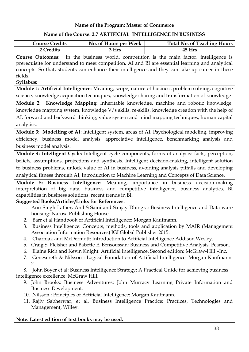### **Name of the Program: Master of Commerce Name of the Course: 2.7 ARTIFICIAL INTELLIGENCE IN BUSINESS Course Credits**  $\vert$  No. of Hours per Week Total No. of Teaching Hours **2 Credits 3 Hrs 45 Hrs Course Outcomes:** In the business world, competition is the main factor, intelligence is prerequisite for understand to meet competition. AI and BI are essential learning and analytical concepts. So that, students can enhance their intelligence and they can take-up career in these fields. **Syllabus: Module 1: Artificial Intelligence:** Meaning, scope, nature of business problem solving, cognitive science, knowledge acquisition techniques, knowledge sharing and transformation of knowledge **Module 2: Knowledge Mapping:** Inheritable knowledge, machine and robotic knowledge, knowledge mapping system, knowledge V/s skills, re-skills, knowledge creation with the help of AI, forward and backward thinking, value system and mind mapping techniques, human capital analytics. **Module 3: Modelling of AI**: Intelligent system, areas of AI, Psychological modeling, improving efficiency, business model analysis, appreciative intelligence, benchmarking analysis and business model analysis. **Module 4: Intelligent Cycle:** Intelligent cycle components, forms of analysis: facts, perception, beliefs, assumptions, projections and synthesis. Intelligent decision-making, intelligent solution to business problems, unlock value of AI in business, avoiding analysis pitfalls and developing analytical fitness through AI, Introduction to Machine Learning and Concepts of Data Science. **Module 5: Business Intelligence:** Meaning, importance in business decision-making interpretation of big data, business and competitive intelligence, business analytics, BI capabilities in business solutions, recent trends in BI. **Suggested Books/Articles/Links for References:** 1. Anu Singh Lather, Anil S Saini and Sanjay Dhingra: Business Intelligence and Data ware housing: Narosa Publishing House. 2. Barr et al Handbook of Artificial Intelligence: Morgan Kaufmann. 3. Business Intelligence: Concepts, methods, tools and application by MAIR (Management Association Information Resources) IGI Global Publisher 2015. 4. Charniak and McDermott: Introduction to Artificial Intelligence Addison Wesley. 5. Craig S. Fleisher and Babette E. Bensoussan: Business and Competitive Analysis, Pearson. 6. Elaine Rich and Kevin Knight: Artificial Intelligence, Second edition: McGraw-Hill –Inc. 7. Genesereth & Nilsson : Logical Foundation of Artificial Intelligence: Morgan Kaufmann. 21 8. John Boyer et al: Business Intelligence Strategy: A Practical Guide for achieving business intelligence excellence: McGraw Hill. 9. John Brooks: Business Adventures: John Murracy Learning Private Information and Business Development. 10. Nilsson : Principles of Artificial Intelligence: Morgan Kaufmann. 11. Rajiv Sabherwar, et al, Business Intelligence Practice: Practices, Technologies and Management, Willey.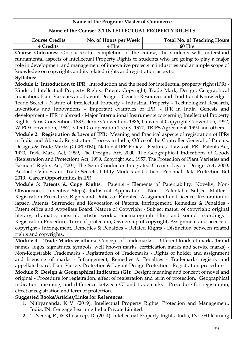### **Name of the Course: 3.1 INTELLECTUAL PROPERTY RIGHTS**

| <b>Course Credits</b><br>No. of Hours per Week<br><b>Total No. of Teaching Hours</b>                |  |  |
|-----------------------------------------------------------------------------------------------------|--|--|
| 4 Credits<br>60 Hrs<br>4 Hrs                                                                        |  |  |
| Course Outcomes: On successful completion of the course, the students will understand               |  |  |
| fundamental aspects of Intellectual Property Rights to students who are going to play a major       |  |  |
| role in development and management of innovative projects in industries and an ample scope of       |  |  |
| knowledge on copyrights and its related rights and registration aspects.                            |  |  |
| Syllabus:                                                                                           |  |  |
| Module 1: Introduction to IPR: Introduction and the need for intellectual property right (IPR) -    |  |  |
| Kinds of Intellectual Property Rights: Patent, Copyright, Trade Mark, Design, Geographical          |  |  |
| Indication, Plant Varieties and Layout Design - Genetic Resources and Traditional Knowledge -       |  |  |
| Trade Secret - Nature of Intellectual Property - Industrial Property - Technological Research,      |  |  |
| Inventions and Innovations - Important examples of IPR. - IPR in India. Genesis and                 |  |  |
| development - IPR in abroad - Major International Instruments concerning Intellectual Property      |  |  |
| Rights: Paris Convention, 1883, Berne Convention, 1886, Universal Copyright Convention, 1952,       |  |  |
| WIPO Convention, 1967, Patent Co-operation Treaty, 1970, TRIPS Agreement, 1994 and others.          |  |  |
| Module 2: Registration & Laws of IPR: Meaning and Practical aspects of registration of IPRs         |  |  |
| in India and Abroad: Registration Process in India, Office of the Controller General of Patents,    |  |  |
| Designs & Trade Marks (CGPDTM), National IPR Policy - Features. Laws of IPR: Patents Act,           |  |  |
| 1970, Trade Mark Act, 1999, The Designs Act, 2000, The Geographical Indications of Goods            |  |  |
| (Registration and Protection) Act, 1999, Copyright Act, 1957, The Protection of Plant Varieties and |  |  |
| Farmers' Rights Act, 2001, The Semi-Conductor Integrated Circuits Layout Design Act, 2000,          |  |  |
| Aesthetic Values and Trade Secrets, Utility Models and others. Personal Data Protection Bill        |  |  |
| 2019. Career Opportunities in IPR.                                                                  |  |  |
| Module 3: Patents & Copy Rights: Patents - Elements of Patentability: Novelty, Non-                 |  |  |
| Obviousness (Inventive Steps), Industrial Application - Non - Patentable Subject Matter -           |  |  |
| Registration Procedure, Rights and Duties of Patentee, Assignment and licence, Restoration of       |  |  |
| lapsed Patents, Surrender and Revocation of Patents, Infringement, Remedies & Penalties -           |  |  |
| Patent office and Appellate Board. Nature of Copyright - Subject matter of copyright: original      |  |  |
| literary, dramatic, musical, artistic works; cinematograph films and sound recordings -             |  |  |
| Registration Procedure, Term of protection, Ownership of copyright, Assignment and licence of       |  |  |
| copyright - Infringement, Remedies & Penalties - Related Rights - Distinction between related       |  |  |
| rights and copyrights.                                                                              |  |  |
| Module 4: Trade Marks & others: Concept of Trademarks - Different kinds of marks (brand             |  |  |
| names, logos, signatures, symbols, well known marks, certification marks and service marks) -       |  |  |
| Non-Registrable Trademarks - Registration of Trademarks - Rights of holder and assignment           |  |  |
| and licensing of marks - Infringement, Remedies & Penalties - Trademarks registry and               |  |  |

appellate board. Plant Variety Protection & Layout Design Protection: Registration procedure **Module 5: Design & Geographical Indicators (GI):** Design: meaning and concept of novel and original - Procedure for registration, effect of registration and term of protection. Geographical indication: meaning, and difference between GI and trademarks - Procedure for registration, effect of registration and term of protection.

### **Suggested Books/Articles/Links for References:**

- **1.** Nithyananda, K V. (2019). Intellectual Property Rights: Protection and Management. India, IN: Cengage Learning India Private Limited.
- **2.** 2. Neeraj, P., & Khusdeep, D. (2014). Intellectual Property Rights. India, IN: PHI learning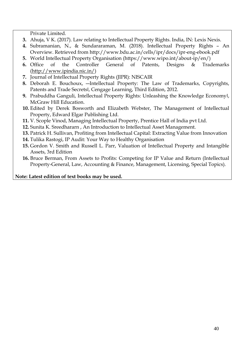Private Limited.

- **3.** Ahuja, V K. (2017). Law relating to Intellectual Property Rights. India, IN: Lexis Nexis.
- **4.** Subramanian, N., & Sundararaman, M. (2018). Intellectual Property Rights An Overview. Retrieved from http://www.bdu.ac.in/cells/ipr/docs/ipr-eng-ebook.pdf
- **5.** World Intellectual Property Organisation (https://www.wipo.int/about-ip/en/)
- **6.** Office of the Controller General of Patents, Designs & Trademarks [\(http://www.ipindia.nic.in/\)](http://www.ipindia.nic.in/)
- **7.** Journal of Intellectual Property Rights (JIPR): NISCAIR
- **8.** Deborah E. Bouchoux, ―Intellectual Property: The Law of Trademarks, Copyrights, Patents and Trade Secrets‖, Cengage Learning, Third Edition, 2012.
- **9.** Prabuddha Ganguli, Intellectual Property Rights: Unleashing the Knowledge Economyl, McGraw Hill Education.
- **10.** Edited by Derek Bosworth and Elizabeth Webster, The Management of Intellectual Property, Edward Elgar Publishing Ltd.
- **11.** V. Scople Vinod, Managing Intellectual Property, Prentice Hall of India pvt Ltd.
- **12.** Sunita K. Sreedhararn , An Introduction to Intellectual Asset Management.
- **13.** Patrick H. Sullivan, Profiting from Intellectual Capital: Extracting Value from Innovation
- **14.** Tulika Rastogi, IP Audit: Your Way to Healthy Organisation
- **15.** Gordon V. Smith and Russell L. Parr, Valuation of Intellectual Property and Intangible Assets, 3rd Edition
- **16.** Bruce Berman, From Assets to Profits: Competing for IP Value and Return (Intellectual Property-General, Law, Accounting & Finance, Management, Licensing, Special Topics).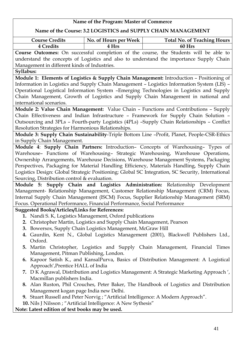| Name of the Program: Master of Commerce                                                                                                                            |                       |                                                                                                   |  |
|--------------------------------------------------------------------------------------------------------------------------------------------------------------------|-----------------------|---------------------------------------------------------------------------------------------------|--|
| Name of the Course: 3.2 LOGISTICS and SUPPLY CHAIN MANAGEMENT                                                                                                      |                       |                                                                                                   |  |
| <b>Course Credits</b>                                                                                                                                              | No. of Hours per Week | <b>Total No. of Teaching Hours</b>                                                                |  |
| <b>4 Credits</b>                                                                                                                                                   | 4 Hrs                 | 60 Hrs                                                                                            |  |
|                                                                                                                                                                    |                       | <b>Course Outcomes:</b> On successful completion of the course, the Students will be able to      |  |
|                                                                                                                                                                    |                       | understand the concepts of Logistics and also to understand the importance Supply Chain           |  |
| Management in different kinds of Industries.                                                                                                                       |                       |                                                                                                   |  |
| Syllabus:                                                                                                                                                          |                       |                                                                                                   |  |
|                                                                                                                                                                    |                       | Module 1: Elements of Logistics & Supply Chain Management: Introduction - Positioning of          |  |
|                                                                                                                                                                    |                       | Information in Logistics and Supply Chain Management - Logistics Information System (LIS) -       |  |
|                                                                                                                                                                    |                       | Operational Logistical Information System - Emerging Technologies in Logistics and Supply         |  |
|                                                                                                                                                                    |                       | Chain Management, Growth of Logistics and Supply Chain Management in national and                 |  |
| international scenarios.                                                                                                                                           |                       |                                                                                                   |  |
|                                                                                                                                                                    |                       | Module 2: Value Chain Management: Value Chain - Functions and Contributions - Supply              |  |
|                                                                                                                                                                    |                       | Chain Effectiveness and Indian Infrastructure - Framework for Supply Chain Solution -             |  |
|                                                                                                                                                                    |                       | Outsourcing and 3PLs - Fourth-party Logistics (4PLs) -Supply Chain Relationships - Conflict       |  |
| Resolution Strategies for Harmonious Relationships.                                                                                                                |                       |                                                                                                   |  |
|                                                                                                                                                                    |                       | Module 3: Supply Chain Sustainability-Triple Bottom Line -Profit, Planet, People-CSR-Ethics       |  |
| in Supply Chain Management.                                                                                                                                        |                       |                                                                                                   |  |
|                                                                                                                                                                    |                       | Module 4: Supply Chain Partners: Introduction- Concepts of Warehousing- Types of                  |  |
|                                                                                                                                                                    |                       | Warehouse- Functions of Warehousing- Strategic Warehousing, Warehouse Operations,                 |  |
|                                                                                                                                                                    |                       | Ownership Arrangements, Warehouse Decisions, Warehouse Management Systems, Packaging              |  |
|                                                                                                                                                                    |                       | Perspectives, Packaging for Material Handling Efficiency, Materials Handling, Supply Chain        |  |
|                                                                                                                                                                    |                       | Logistics Design: Global Strategic Positioning; Global SC Integration, SC Security, International |  |
| Sourcing, Distribution control $&$ evaluation.                                                                                                                     |                       |                                                                                                   |  |
|                                                                                                                                                                    |                       | Module 5: Supply Chain and Logistics Administration: Relationship Development                     |  |
|                                                                                                                                                                    |                       | Management- Relationship Management, Customer Relationship Management (CRM) Focus,                |  |
|                                                                                                                                                                    |                       |                                                                                                   |  |
| Internal Supply Chain Management (ISCM) Focus, Supplier Relationship Management (SRM)<br>Focus. Operational Performance, Financial Performance, Social Performance |                       |                                                                                                   |  |
| <b>Suggested Books/Articles/Links for References:</b>                                                                                                              |                       |                                                                                                   |  |
| 1. Nandi S. K, Logistics Management, Oxford publications                                                                                                           |                       |                                                                                                   |  |
| 2. Christopher Martin, Logistics and Supply Chain Management, Pearson                                                                                              |                       |                                                                                                   |  |
| 3. Bowersox, Supply Chain Logistics Management, McGraw Hill                                                                                                        |                       |                                                                                                   |  |
|                                                                                                                                                                    |                       | 4. Gaurdin, Kent N., Global Logistics Management (2001), Blackwell Publishers Ltd.,               |  |
| Oxford.                                                                                                                                                            |                       |                                                                                                   |  |
|                                                                                                                                                                    |                       | 5. Martin Christopher, Logistics and Supply Chain Management, Financial Times                     |  |
| Management, Pitman Publishing, London.                                                                                                                             |                       |                                                                                                   |  |
|                                                                                                                                                                    |                       | 6. Kapoor Satish K., and KansalPurva, Basics of Distribution Management: A Logistical             |  |
| Approach', Prentice HALL of India                                                                                                                                  |                       |                                                                                                   |  |
|                                                                                                                                                                    |                       |                                                                                                   |  |
| 7. D K Agrawal, Distribution and Logistics Management: A Strategic Marketing Approach ',<br>Macmillan publishers India.                                            |                       |                                                                                                   |  |
| 8. Alan Ruston, Phil Crouches, Peter Baker, The Handbook of Logistics and Distribution                                                                             |                       |                                                                                                   |  |
| Management kogan page India new Delhi.                                                                                                                             |                       |                                                                                                   |  |
| 9. Stuart Russell and Peter Norvig; "Artificial Intelligence: A Modern Approach".                                                                                  |                       |                                                                                                   |  |
| 10. Nils J Nilsson ; "Artificial Intelligence: A New Sythesis"                                                                                                     |                       |                                                                                                   |  |
| Note: Latest edition of text books may be used.                                                                                                                    |                       |                                                                                                   |  |
|                                                                                                                                                                    |                       |                                                                                                   |  |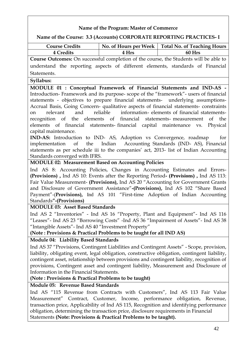### **Name of the Course: 3.3 (Accounts) CORPORATE REPORTING PRACTICES- I**

| <b>Course Credits</b>                                                                                                                                                                                                                                                                                                                                                                                                                                |                                                                                | No. of Hours per Week   Total No. of Teaching Hours                                                                                                                     |  |
|------------------------------------------------------------------------------------------------------------------------------------------------------------------------------------------------------------------------------------------------------------------------------------------------------------------------------------------------------------------------------------------------------------------------------------------------------|--------------------------------------------------------------------------------|-------------------------------------------------------------------------------------------------------------------------------------------------------------------------|--|
| 4 Credits                                                                                                                                                                                                                                                                                                                                                                                                                                            | 4 Hrs                                                                          | 60 Hrs                                                                                                                                                                  |  |
| Course Outcomes: On successful completion of the course, the Students will be able to                                                                                                                                                                                                                                                                                                                                                                |                                                                                |                                                                                                                                                                         |  |
| Statements.                                                                                                                                                                                                                                                                                                                                                                                                                                          | understand the reporting aspects of different elements, standards of Financial |                                                                                                                                                                         |  |
|                                                                                                                                                                                                                                                                                                                                                                                                                                                      |                                                                                |                                                                                                                                                                         |  |
| Syllabus:                                                                                                                                                                                                                                                                                                                                                                                                                                            |                                                                                |                                                                                                                                                                         |  |
| MODULE 01 : Conceptual Framework of Financial Statements and IND-AS -                                                                                                                                                                                                                                                                                                                                                                                |                                                                                | Introduction-Framework and its purpose-scope of the "framework"- users of financial<br>statements - objectives to prepare financial statements- underlying assumptions- |  |
| Accrual Basis, Going Concern- qualitative aspects of financial statements- constraints<br>and<br>relevant<br>on                                                                                                                                                                                                                                                                                                                                      | reliable                                                                       | information-elements of financial statements-                                                                                                                           |  |
| recognition of the elements of financial statements- measurement of<br>elements of financial statements-financial capital maintenance vs.                                                                                                                                                                                                                                                                                                            |                                                                                | the<br>Physical                                                                                                                                                         |  |
| capital maintenance.                                                                                                                                                                                                                                                                                                                                                                                                                                 |                                                                                |                                                                                                                                                                         |  |
| IND-AS: Introduction to IND- AS, Adoption vs Convergence, roadmap                                                                                                                                                                                                                                                                                                                                                                                    |                                                                                | for<br>implementation of the Indian Accounting Standards (IND-AS), Financial                                                                                            |  |
|                                                                                                                                                                                                                                                                                                                                                                                                                                                      |                                                                                | statements as per schedule iii to the companies' act, 2013- list of Indian Accounting                                                                                   |  |
| Standards converged with IFRS.                                                                                                                                                                                                                                                                                                                                                                                                                       |                                                                                |                                                                                                                                                                         |  |
| <b>MODULE 02: Measurement Based on Accounting Policies</b>                                                                                                                                                                                                                                                                                                                                                                                           |                                                                                |                                                                                                                                                                         |  |
|                                                                                                                                                                                                                                                                                                                                                                                                                                                      |                                                                                |                                                                                                                                                                         |  |
| Ind AS 8: Accounting Policies, Changes in Accounting Estimates and Errors-<br>(Provisions), Ind AS 10: Events after the Reporting Period- (Provisions), Ind AS 113:<br>Fair Value Measurement- (Provisions), Ind AS 20 "Accounting for Government Grants<br>and Disclosure of Government Assistance"-(Provisions), Ind AS 102 "Share Based<br>Payment"-(Provisions), Ind AS 101 "First-time Adoption of Indian Accounting<br>Standards"-(Provisions) |                                                                                |                                                                                                                                                                         |  |
| <b>MODULE 03: Asset Based Standards</b>                                                                                                                                                                                                                                                                                                                                                                                                              |                                                                                |                                                                                                                                                                         |  |
|                                                                                                                                                                                                                                                                                                                                                                                                                                                      |                                                                                | Ind AS 2 "Inventories" - Ind AS 16 "Property, Plant and Equipment"- Ind AS 116                                                                                          |  |
| "Leases"- Ind AS 23 "Borrowing Costs" -Ind AS 36 "Impairment of Assets"- Ind AS 38                                                                                                                                                                                                                                                                                                                                                                   |                                                                                |                                                                                                                                                                         |  |
| "Intangible Assets" - Ind AS 40 "Investment Property"<br>(Note: Provisions & Practical Problems to be taught for all IND AS)                                                                                                                                                                                                                                                                                                                         |                                                                                |                                                                                                                                                                         |  |
|                                                                                                                                                                                                                                                                                                                                                                                                                                                      |                                                                                |                                                                                                                                                                         |  |
| Module 04: Liability Based Standards                                                                                                                                                                                                                                                                                                                                                                                                                 |                                                                                |                                                                                                                                                                         |  |
| Ind AS 37 "Provisions, Contingent Liabilities and Contingent Assets" - Scope, provision,<br>liability, obligating event, legal obligation, constructive obligation, contingent liability,<br>contingent asset, relationship between provisions and contingent liability, recognition of<br>provisions, Contingent asset and contingent liability, Measurement and Disclosure of                                                                      |                                                                                |                                                                                                                                                                         |  |
| Information in the Financial Statements.                                                                                                                                                                                                                                                                                                                                                                                                             |                                                                                |                                                                                                                                                                         |  |
| (Note: Provisions & Practical Problems to be taught)                                                                                                                                                                                                                                                                                                                                                                                                 |                                                                                |                                                                                                                                                                         |  |
| Module 05: Revenue Based Standards                                                                                                                                                                                                                                                                                                                                                                                                                   |                                                                                |                                                                                                                                                                         |  |
| Ind AS "115 Revenue from Contracts with Customers", Ind AS 113 Fair Value<br>Measurement" Contract, Customer, Income, performance obligation, Revenue,<br>transaction price, Applicability of Ind AS 115, Recognition and identifying performance<br>obligation, determining the transaction price, disclosure requirements in Financial<br>Statements (Note: Provisions & Practical Problems to be taught).                                         |                                                                                |                                                                                                                                                                         |  |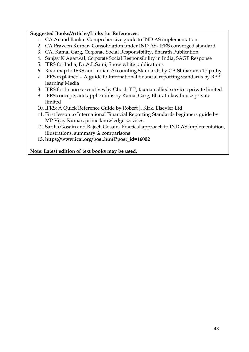### **Suggested Books/Articles/Links for References:**

- 1. CA Anand Banka- Comprehensive guide to IND AS implementation.
- 2. CA Praveen Kumar- Consolidation under IND AS- IFRS converged standard
- 3. CA. Kamal Garg, Corporate Social Responsibility, Bharath Publication
- 4. Sanjay K Agarwal, Corporate Social Responsibility in India, SAGE Response
- 5. IFRS for India, Dr.A.L.Saini, Snow white publications
- 6. Roadmap to IFRS and Indian Accounting Standards by CA Shibarama Tripathy
- 7. IFRS explained A guide to International financial reporting standards by BPP learning Media
- 8. IFRS for finance executives by Ghosh T P, taxman allied services private limited
- 9. IFRS concepts and applications by Kamal Garg, Bharath law house private limited
- 10. IFRS: A Quick Reference Guide by Robert J. Kirk, Elsevier Ltd.
- 11. First lesson to International Financial Reporting Standards beginners guide by MP Vijay Kumar, prime knowledge services.
- 12. Sariha Gosain and Rajeeh Gosain- Practical approach to IND AS implementation, illustrations, summary & comparisons
- **13. https://www.icai.org/post.html?post\_id=16002**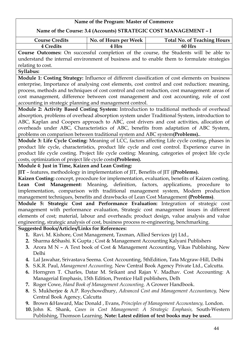### **Name of the Course: 3.4 (Accounts) STRATEGIC COST MANAGEMENT – I**

| <b>Course Credits</b> | No. of Hours per Week | <b>Total No. of Teaching Hours</b> |
|-----------------------|-----------------------|------------------------------------|
| 4 Credits             | <b>Hrs</b>            | 60 Hrs                             |

**Course Outcomes:** On successful completion of the course, the Students will be able to understand the internal environment of business and to enable them to formulate strategies relating to cost.

### **Syllabus:**

**Module 1: Costing Strategy:** Influence of different classification of cost elements on business enterprise, Importance of analysing cost elements, cost control and cost reduction: meaning, process, methods and techniques of cost control and cost reduction, cost management: areas of cost management, difference between cost management and cost accounting, role of cost accounting in strategic planning and management control.

**Module 2: Activity Based Costing System:** Introduction to traditional methods of overhead absorption, problems of overhead absorption system under Traditional System, introduction to ABC, Kaplan and Coopers approach to ABC, cost drivers and cost activities, allocation of overheads under ABC, Characteristics of ABC, benefits from adaptation of ABC System, problems on comparison between traditional system and ABC system**(Problems).**.

**Module 3: Life Cycle Costing:** Meaning of LCC, factors affecting Life cycle costing, phases in product life cycle, characteristics, product life cycle and cost control. Experience curve in product life cycle costing. Project life cycle costing: Meaning, categories of project life cycle costs, optimization of project life cycle costs**(Problems).**

### **Module 4**: **Just in Time, Kaizen and Lean Costing:**

**JIT** – features, methodology in implementation of JIT, Benefits of JIT (**(Problems).**

**Kaizen Costing:** concept, procedure for implementation, evaluation, benefits of Kaizen costing. **Lean Cost Management:** Meaning, definition, factors, applications, procedure to implementation, comparison with traditional management system, Modern production management techniques, benefits and drawbacks of Lean Cost Management **(Problems)**.

**Module 5: Strategic Cost and Performance Evaluation:** Integration of strategic cost management with performance evaluation, Strategic cost management issues in different elements of cost; material, labour and overheads; product design, value analysis and value engineering, strategic analysis of cost, business process re-engineering, benchmarking.

### **Suggested Books/Articles/Links for References:**

- **1.** Ravi. M. Kishore, Cost Management, Taxman, Allied Services (p) Ltd.,
- **2.** Sharma &Shashi. K Gupta ; Cost & Management Accounting Kalyani Publishers
- **3.** Arora M N A Text book of Cost & Management Accounting, Vikas Publishing, New Delhi
- **4.** Lal Jawahar, Srivastava Seema. Cost Accounting, 5thEdition, Tata Mcgraw-Hill, Delhi
- **5.** S.K.R. Paul, *Management Accounting,* New Central Book Agency Private Ltd., Calcutta.
- **6.** Horngren T. Charles, Datar M. Srikant and Rajan V. Madhav. Cost Accounting: A Managerial Emphasis, 15th Edition, Prentice Hall publishers, Delh
- **7.** Roger Cowe, *Hand Book of Management Accounting,* A Grower Handbook.
- **8.** S. Mukherjee & A.P. Roychowdhury, *Advanced Cost and Management Accountancy,* New Central Book Agency, Calcutta
- **9.** Brown &Haward, Mac Donald , Evans, *Principles of Management Accountancy,* London.
- **10.** John K. Shank, *Cases in Cost Management: A Strategic Emphasis,* South-Western Publishing, Thomson Learning. **Note: Latest edition of text books may be used.**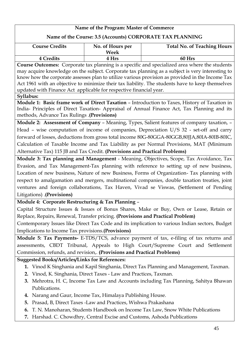| Name of the Course: 3.5 (Accounts) CORPORATE TAX PLANNING                                      |                  |                                                                                                  |  |
|------------------------------------------------------------------------------------------------|------------------|--------------------------------------------------------------------------------------------------|--|
| <b>Course Credits</b>                                                                          | No. of Hours per | <b>Total No. of Teaching Hours</b>                                                               |  |
|                                                                                                | <b>Week</b>      |                                                                                                  |  |
| 4 Credits                                                                                      | 4 Hrs            | 60 Hrs                                                                                           |  |
|                                                                                                |                  | Course Outcomes: Corporate tax planning is a specific and specialized area where the students    |  |
|                                                                                                |                  | may acquire knowledge on the subject. Corporate tax planning as a subject is very interesting to |  |
|                                                                                                |                  | know how the corporate assesses plan to utilize various provision as provided in the Income Tax  |  |
|                                                                                                |                  | Act 1961 with an objective to minimize their tax liability. The students have to keep themselves |  |
| updated with Finance Act applicable for respective financial year.                             |                  |                                                                                                  |  |
| Syllabus:                                                                                      |                  |                                                                                                  |  |
|                                                                                                |                  | Module 1: Basic frame work of Direct Taxation - Introduction to Taxes, History of Taxation in    |  |
|                                                                                                |                  | India- Principles of Direct Taxation- Appraisal of Annual Finance Act, Tax Planning and its      |  |
| (Provisions). Provisions)                                                                      |                  |                                                                                                  |  |
|                                                                                                |                  | Module 2: Assessment of Company - Meaning, Types, Salient features of company taxation, -        |  |
|                                                                                                |                  | Head - wise computation of income of companies, Depreciation U/S 32 - set-off and carry          |  |
|                                                                                                |                  | forward of losses, deductions from gross total income 80G-80GGA-80GGB,80JJA,80IA-80IB-80IC,      |  |
|                                                                                                |                  | Calculation of Taxable Income and Tax Liability as per Normal Provisions, MAT (Minimum           |  |
| Alternative Tax) 115 JB and Tax Credit. (Provisions and Practical Problems)                    |                  |                                                                                                  |  |
| Module 3: Tax planning and Management - Meaning, Objectives, Scope, Tax Avoidance, Tax         |                  |                                                                                                  |  |
| Evasion, and Tax Management-Tax planning with reference to setting up of new business,         |                  |                                                                                                  |  |
| Location of new business, Nature of new Business, Forms of Organization- Tax planning with     |                  |                                                                                                  |  |
| respect to amalgamation and mergers, multinational companies, double taxation treaties, joint  |                  |                                                                                                  |  |
| ventures and foreign collaborations, Tax Haven, Vivad se Viswas, (Settlement of Pending        |                  |                                                                                                  |  |
| Litigations) (Provisions)                                                                      |                  |                                                                                                  |  |
| Module 4: Corporate Restructuring & Tax Planning -                                             |                  |                                                                                                  |  |
| Capital Structure Issues & Issues of Bonus Shares, Make or Buy, Own or Lease, Retain or        |                  |                                                                                                  |  |
| Replace, Repairs, Renewal, Transfer pricing. (Provisions and Practical Problem)                |                  |                                                                                                  |  |
| Contemporary Issues like Direct Tax Code and its implication to various Indian sectors, Budget |                  |                                                                                                  |  |
| Implications to Income Tax provisions. (Provisions)                                            |                  |                                                                                                  |  |

**Module 5: Tax Payments-** E-TDS/TCS, advance payment of tax, e-filing of tax returns and assessments, CBDT Tribunal, Appeals to High Court/Supreme Court and Settlement Commission, refunds, and revision,. **(Provisions and Practical Problems)**

### **Suggested Books/Articles/Links for References:**

- **1.** Vinod K Singhania and Kapil Singhania, Direct Tax Planning and Management, Taxman.
- **2.** Vinod, K. Singhania, Direct Taxes Law and Practices, Taxman.
- **3.** Mehrotra, H. C, Income Tax Law and Accounts including Tax Planning, Sahitya Bhawan Publications.
- **4.** Narang and Gaur, Income Tax, Himalaya Publishing House.
- **5.** Prasad, B, Direct Taxes -Law and Practices, Wishwa Prakashana
- **6.** T. N. Manoharan, Students Handbook on Income Tax Law, Snow White Publications
- **7.** Harshad. C. Chowdhry, Central Excise and Customs, Ashoda Publications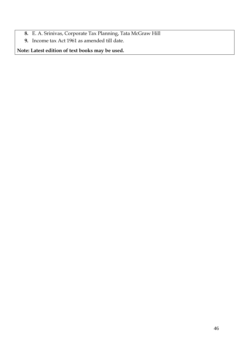- **8.** E. A. Srinivas, Corporate Tax Planning, Tata McGraw Hill
- **9.** Income tax Act 1961 as amended till date.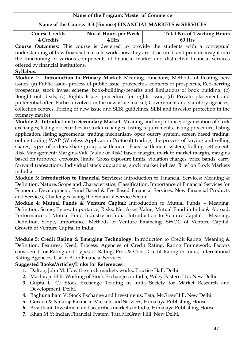| Name of the Course: 3.3 (Finance) FINANCIAL MARKETS & SERVICES                                                                                                                                                                                                  |                       |                                                                                                                                                                                                                                                                                                                                                                                                                                                                                                                                                                                                                                                                                                                |
|-----------------------------------------------------------------------------------------------------------------------------------------------------------------------------------------------------------------------------------------------------------------|-----------------------|----------------------------------------------------------------------------------------------------------------------------------------------------------------------------------------------------------------------------------------------------------------------------------------------------------------------------------------------------------------------------------------------------------------------------------------------------------------------------------------------------------------------------------------------------------------------------------------------------------------------------------------------------------------------------------------------------------------|
| <b>Course Credits</b>                                                                                                                                                                                                                                           | No. of Hours per Week | <b>Total No. of Teaching Hours</b>                                                                                                                                                                                                                                                                                                                                                                                                                                                                                                                                                                                                                                                                             |
| 4 Credits                                                                                                                                                                                                                                                       | 4 Hrs                 | 60 Hrs                                                                                                                                                                                                                                                                                                                                                                                                                                                                                                                                                                                                                                                                                                         |
| Course Outcomes: This course is designed to provide the students with a conceptual<br>understanding of how financial markets-work, how they are structured, and provide insight into                                                                            |                       |                                                                                                                                                                                                                                                                                                                                                                                                                                                                                                                                                                                                                                                                                                                |
|                                                                                                                                                                                                                                                                 |                       | the functioning of various components of financial market and distinctive financial services                                                                                                                                                                                                                                                                                                                                                                                                                                                                                                                                                                                                                   |
| offered by financial institutions.                                                                                                                                                                                                                              |                       |                                                                                                                                                                                                                                                                                                                                                                                                                                                                                                                                                                                                                                                                                                                |
| Syllabus:                                                                                                                                                                                                                                                       |                       |                                                                                                                                                                                                                                                                                                                                                                                                                                                                                                                                                                                                                                                                                                                |
| primary market.                                                                                                                                                                                                                                                 |                       | Module 1: Introduction to Primary Market: Meaning, functions; Methods of floating new<br>issues: (a) Public issue- process of public issue, prospectus, contents of prospectus, Red-herring<br>prospectus, stock invest scheme, book-building-benefits and limitations of book building; (b)<br>Bought out deals; (c) Rights Issue- procedure for rights issue; (d) Private placement and<br>preferential offer. Parties involved in the new issue market, Government and statutory agencies,<br>collection centres. Pricing of new issue and SEBI guidelines; SEBI and investor protection in the                                                                                                             |
|                                                                                                                                                                                                                                                                 |                       | Module 2: Introduction to Secondary Market: Meaning and importance; organization of stock                                                                                                                                                                                                                                                                                                                                                                                                                                                                                                                                                                                                                      |
| in India.                                                                                                                                                                                                                                                       |                       | exchanges; listing of securities in stock exchanges- listing requirements, listing procedure, listing<br>application, listing agreements; trading mechanism- open outcry system, screen based trading,<br>online-trading WAP (Wireless Application Protocol) trading, the process of buying and selling<br>shares, types of orders, share groups; settlement- Fixed settlement system, Rolling settlement.<br>Risk Management; Margins-VaR (Value of Risk) based margin, mark to market margin, margins<br>based on turnover, exposure limits, Gross exposure limits, violation charges, price bands; carry<br>forward transactions. Individual stock quotations; stock market indices. Brief on Stock Markets |
|                                                                                                                                                                                                                                                                 |                       | Module 3: Introduction to Financial Services: Introduction to Financial Services: Meaning &                                                                                                                                                                                                                                                                                                                                                                                                                                                                                                                                                                                                                    |
| Definition, Nature, Scope and Characteristics, Classification, Importance of Financial Services for<br>Economic Development, Fund Based & Fee Based Financial Services, New Financial Products<br>and Services, Challenges facing the Financial Service Sector. |                       |                                                                                                                                                                                                                                                                                                                                                                                                                                                                                                                                                                                                                                                                                                                |
|                                                                                                                                                                                                                                                                 |                       | Module 4: Mutual Funds & Venture Capital: Introduction to Mutual Funds - Meaning,                                                                                                                                                                                                                                                                                                                                                                                                                                                                                                                                                                                                                              |
|                                                                                                                                                                                                                                                                 |                       | Definition, Scope, Types, Importance, Risks, Net Asset Value, Mutual Fund in India & Abroad,                                                                                                                                                                                                                                                                                                                                                                                                                                                                                                                                                                                                                   |
|                                                                                                                                                                                                                                                                 |                       | Performance of Mutual Fund Industry in India. Introduction to Venture Capital - Meaning,                                                                                                                                                                                                                                                                                                                                                                                                                                                                                                                                                                                                                       |
|                                                                                                                                                                                                                                                                 |                       | Definition, Scope, Importance, Methods of Venture Financing, SWOC of Venture Capital,                                                                                                                                                                                                                                                                                                                                                                                                                                                                                                                                                                                                                          |
| Growth of Venture Capital in India.                                                                                                                                                                                                                             |                       |                                                                                                                                                                                                                                                                                                                                                                                                                                                                                                                                                                                                                                                                                                                |
|                                                                                                                                                                                                                                                                 |                       | Module 5: Credit Rating & Emerging Technology: Introduction to Credit Rating, Meaning &                                                                                                                                                                                                                                                                                                                                                                                                                                                                                                                                                                                                                        |
|                                                                                                                                                                                                                                                                 |                       | Definition, Features, Need, Process, Agencies of Credit Rating, Rating Framework, Factors                                                                                                                                                                                                                                                                                                                                                                                                                                                                                                                                                                                                                      |
|                                                                                                                                                                                                                                                                 |                       | considered for Rating and Types of Rating, Pros & Cons, Credit Rating in India, International                                                                                                                                                                                                                                                                                                                                                                                                                                                                                                                                                                                                                  |
| Rating Agencies, Use of AI in Financial Services.                                                                                                                                                                                                               |                       |                                                                                                                                                                                                                                                                                                                                                                                                                                                                                                                                                                                                                                                                                                                |
| <b>Suggested Books/Articles/Links for References:</b>                                                                                                                                                                                                           |                       |                                                                                                                                                                                                                                                                                                                                                                                                                                                                                                                                                                                                                                                                                                                |
| 1. Dalton, John M: How the stock markets works, Practice Hall, Delhi.                                                                                                                                                                                           |                       |                                                                                                                                                                                                                                                                                                                                                                                                                                                                                                                                                                                                                                                                                                                |
|                                                                                                                                                                                                                                                                 |                       | 2. Machiraju H R: Working of Stock Exchanges in India, Wiley Eastern Ltd, New Delhi.                                                                                                                                                                                                                                                                                                                                                                                                                                                                                                                                                                                                                           |
|                                                                                                                                                                                                                                                                 |                       | 3. Gupta L. C.: Stock Exchange Trading in India Society for Market Research and                                                                                                                                                                                                                                                                                                                                                                                                                                                                                                                                                                                                                                |
| Development, Delhi.                                                                                                                                                                                                                                             |                       |                                                                                                                                                                                                                                                                                                                                                                                                                                                                                                                                                                                                                                                                                                                |
|                                                                                                                                                                                                                                                                 |                       | 4. Raghunatham V: Stock Exchange and Investments, Tata, McGrawHill, New Delhi                                                                                                                                                                                                                                                                                                                                                                                                                                                                                                                                                                                                                                  |

- **5.** Gorden & Nataraj: Financial Markets and Services, Himalaya Publishing House
- **6.** Avadhani: Investment and securities markets in India, Himalaya Publishing House
- **7.** Khan M Y: Indian Financial System, Tata McGraw Hill, New Delhi.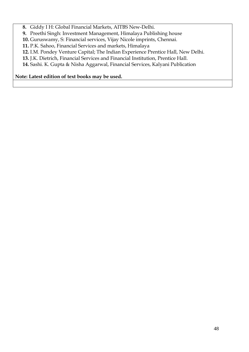**8.** Giddy I H: Global Financial Markets, AITBS New-Delhi.

**9.** Preethi Singh: Investment Management, Himalaya Publishing house

**10.** Guruswamy, S: Financial services, Vijay Nicole imprints, Chennai.

**11.** P.K. Sahoo, Financial Services and markets, Himalaya

**12.** I.M. Pondey Venture Capital; The Indian Experience Prentice Hall, New Delhi.

**13.** J.K. Dietrich, Financial Services and Financial Institution, Prentice Hall.

**14.** Sashi. K. Gupta & Nisha Aggarwal, Financial Services, Kalyani Publication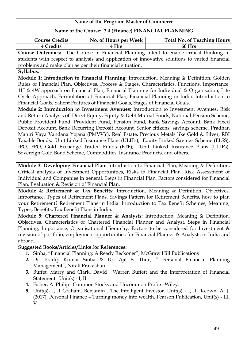### **Name of the Course: 3.4 (Finance) FINANCIAL PLANNING**

| <b>Course Credits</b> | No. of Hours per Week | <b>Total No. of Teaching Hours</b> |
|-----------------------|-----------------------|------------------------------------|
| 4 Credits             | 4 Hrs                 | 60 Hrs                             |

**Course Outcomes:** The Course in Financial Planning intent to enable critical thinking in students with respect to analysis and application of innovative solutions to varied financial problems and make plan as per their financial situation.

### **Syllabus:**

**Module 1: Introduction to Financial Planning:** Introduction, Meaning & Definition, Golden Rules of Financial Plan, Objectives, Process & Stages, Characteristics, Functions, Importance, 1H & 4W approach on Financial Plan, Financial Planning for Individual & Organisation, Life Cycle Approach, Formulation of Financial Plan, Financial Planning in India. Introduction to Financial Goals, Salient Features of Financial Goals, Stages of Financial Goals.

**Module 2: Introduction to Investment Avenues:** Introduction to Investment Avenues, Risk and Return Analysis of: Direct Equity, Equity & Debt Mutual Funds, National Pension Scheme, Public Provident Fund, Provident Fund, Pension Fund, Bank Savings Account, Bank Fixed Deposit Account, Bank Recurring Deposit Account, Senior citizens' savings scheme, Pradhan Mantri Vaya Vandana Yojana (PMVVY), Real Estate, Precious Metals like Gold & Silver, RBI Taxable Bonds, Unit Linked Insurance Plans (ULIPs), Equity Linked Savings Scheme (ELSS), IPO, FPO, Gold Exchange Traded Funds (ETF), Unit Linked Insurance Plans (ULIPs), Sovereign Gold Bond Scheme, Commodities, Insurance Products, and others.

**Module 3: Developing Financial Plan:** Introduction to Financial Plan, Meaning & Definition, Critical analysis of Investment Opportunities, Risks in Financial Plan, Risk Assessment of Individual and Companies in general. Steps in Financial Plan, Factors considered for Financial Plan, Evaluation & Revision of Financial Plan.

**Module 4**: **Retirement & Tax Benefits:** Introduction, Meaning & Definition, Objectives, Importance, Types of Retirement Plans, Savings Pattern for Retirement Benefits, how to plan your Retirement? Retirement Plans in India. Introduction to Tax Benefit Schemes, Meaning, Types, Benefits, Tax Benefit Plans in India.

**Module 5: Chartered Financial Planner & Analysts:** Introduction, Meaning & Definition, Objectives, Characteristics of Chartered Financial Planner and Analyst, Steps in Financial Planning, Importance, Organisational Hierarchy. Factors to be considered for Investment & revision of portfolio, employment opportunities for Financial Planner & Analysts in India and abroad.

### **Suggested Books/Articles/Links for References:**

- **1.** Sinha, "Financial Planning: A Ready Reckoner", McGraw Hill Publications
- **2.** Dr. Pradip Kumar Sinha & Dr. Ajit S. Thite, " Personal Financial Planning Management", Nirali Prakashan
- **3.** Buffet, Marry and Clark, David . Warren Buffett and the Interpretation of Financial Statement. Unit(s) - I, II.
- **4.** Fisher, A. Philip . Common Stocks and Uncommon Profits. Wiley.
- **5.** Unit(s)- I, II Graham, Benjamin . The Intelligent Investor. Unit(s) I, II Keown, A. J. (2017). Personal Finance – Turning money into wealth. Pearson Publication, Unit(s) - III, V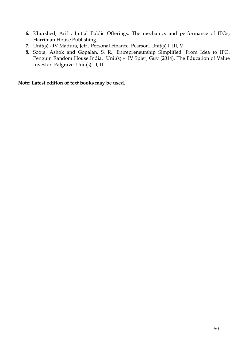- **6.** Khurshed, Arif ; Initial Public Offerings: The mechanics and performance of IPOs, Harriman House Publishing.
- **7.** Unit(s) IV Madura, Jeff ; Personal Finance. Pearson. Unit(s) I, III, V
- **8.** Soota, Ashok and Gopalan, S. R.; Entrepreneurship Simplified: From Idea to IPO. Penguin Random House India. Unit(s) - IV Spier, Guy (2014). The Education of Value Investor. Palgrave. Unit(s) - I, II .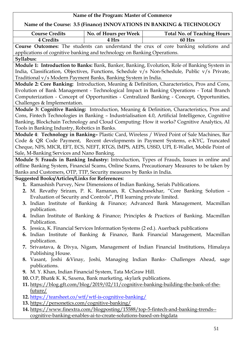| Name of the Program: Master of Commerce                                              |                                                                              |                                                                                                   |  |
|--------------------------------------------------------------------------------------|------------------------------------------------------------------------------|---------------------------------------------------------------------------------------------------|--|
| Name of the Course: 3.5 (Finance) INNOVATIONS IN BANKING & TECHNOLOGY                |                                                                              |                                                                                                   |  |
| <b>Course Credits</b>                                                                | No. of Hours per Week                                                        | <b>Total No. of Teaching Hours</b>                                                                |  |
| <b>4 Credits</b>                                                                     | 4 Hrs                                                                        | 60 Hrs                                                                                            |  |
|                                                                                      |                                                                              | <b>Course Outcomes:</b> The students can understand the crux of core banking solutions and        |  |
|                                                                                      | applications of cognitive banking and technology on Banking Operations.      |                                                                                                   |  |
| Syllabus:                                                                            |                                                                              |                                                                                                   |  |
|                                                                                      |                                                                              | Module 1: Introduction to Banks: Bank, Banker, Banking, Evolution, Role of Banking System in      |  |
|                                                                                      |                                                                              | India, Classification, Objectives, Functions, Schedule v/s Non-Schedule, Public v/s Private,      |  |
|                                                                                      | Traditional v/s Modern Payment Banks, Banking System in India.               |                                                                                                   |  |
|                                                                                      |                                                                              | Module 2: Core Banking: Introduction, Meaning & Definition, Characteristics, Pros and Cons,       |  |
|                                                                                      |                                                                              | Evolution of Bank Management - Technological Impact in Banking Operations - Total Branch          |  |
|                                                                                      |                                                                              | Computerization - Concept of Opportunities - Centralized Banking - Concept, Opportunities,        |  |
| Challenges & Implementation.                                                         |                                                                              |                                                                                                   |  |
|                                                                                      |                                                                              | Module 3: Cognitive Banking: Introduction, Meaning & Definition, Characteristics, Pros and        |  |
|                                                                                      |                                                                              | Cons, Fintech Technologies in Banking - Industrialisation 4.0, Artificial Intelligence, Cognitive |  |
|                                                                                      |                                                                              | Banking, Blockchain Technology and Cloud Computing: How it works? Cognitive Analytics, AI         |  |
| Tools in Banking Industry, Robotics in Banks.                                        |                                                                              |                                                                                                   |  |
|                                                                                      |                                                                              | Module 4: Technology in Banking- Plastic Card, Wireless / Wired Point of Sale Machines, Bar       |  |
|                                                                                      |                                                                              | Code & QR Code Payment, Recent developments in Payment Systems, e-KYC, Truncated                  |  |
|                                                                                      |                                                                              | Cheque, NFS, MICR, EFT, ECS, NEFT, RTGS, IMPS, AEPS, USSD, UPI, E-Wallet, Mobile Point of         |  |
| Sale, M-Banking Services and Nano Banking.                                           |                                                                              |                                                                                                   |  |
|                                                                                      |                                                                              | Module 5: Frauds in Banking Industry: Introduction, Types of Frauds, Issues in online and         |  |
|                                                                                      |                                                                              | offline Banking System, Financial Scams, Online Scams, Precautionary Measures to be taken by      |  |
|                                                                                      | Banks and Customers, OTP, TTP, Security measures by Banks in India.          |                                                                                                   |  |
| <b>Suggested Books/Articles/Links for References:</b>                                |                                                                              |                                                                                                   |  |
|                                                                                      | 1. Ramashish Purvey, New Dimensions of Indian Banking, Serials Publications. |                                                                                                   |  |
|                                                                                      |                                                                              | 2. M. Revathy Sriram, P. K. Ramanan, R. Chandrasekhar, "Core Banking Solution -                   |  |
|                                                                                      | Evaluation of Security and Controls", PHI learning private limited.          |                                                                                                   |  |
| 3. Indian Institute of Banking & Finance; Advanced Bank Management, Macmillan        |                                                                              |                                                                                                   |  |
| publication.                                                                         |                                                                              |                                                                                                   |  |
|                                                                                      |                                                                              | 4. Indian Institute of Banking & Finance; Principles & Practices of Banking. Macmillan            |  |
| Publication.                                                                         |                                                                              |                                                                                                   |  |
|                                                                                      |                                                                              | 5. Jessica, K. Financial Services Information Systems (2 ed.). Auerback publications              |  |
|                                                                                      |                                                                              | 6. Indian Institute of Banking & Finance, Bank Financial Management, Macmillan                    |  |
| publication.                                                                         |                                                                              |                                                                                                   |  |
|                                                                                      |                                                                              | 7. Srivastava, & Divya, Nigam, Management of Indian Financial Institutions, Himalaya              |  |
| Publishing House.                                                                    |                                                                              |                                                                                                   |  |
|                                                                                      |                                                                              | 8. Vasant, Joshi & Vinay, Joshi, Managing Indian Banks- Challenges Ahead, sage                    |  |
| publications.                                                                        |                                                                              |                                                                                                   |  |
| 9. M. Y. Khan, Indian Financial System, Tata McGraw Hill.                            |                                                                              |                                                                                                   |  |
| 10. O.P, Bhat& K. K, Saxena, Bank marketing, skylark publications.                   |                                                                              |                                                                                                   |  |
| 11. https://blog.gft.com/blog/2019/02/11/cognitive-banking-building-the-bank-of-the- |                                                                              |                                                                                                   |  |
| future/                                                                              |                                                                              |                                                                                                   |  |
| 12. https://tearsheet.co/wtf/wtf-is-cognitive-banking/                               |                                                                              |                                                                                                   |  |
| 13. https://personetics.com/cognitive-banking/                                       |                                                                              |                                                                                                   |  |

**14.** [https://www.finextra.com/blogposting/15588/top-5-fintech-and-banking-trends-](https://www.finextra.com/blogposting/15588/top-5-fintech-and-banking-trends--cognitive-banking-enables-ai-to-create-solutions-based-on-bigdata) [cognitive-banking-enables-ai-to-create-solutions-based-on-bigdata](https://www.finextra.com/blogposting/15588/top-5-fintech-and-banking-trends--cognitive-banking-enables-ai-to-create-solutions-based-on-bigdata)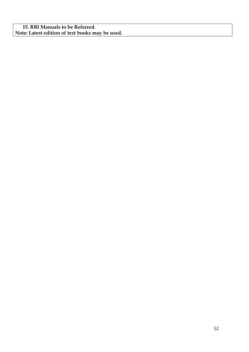**15. RBI Manuals to be Referred. Note: Latest edition of text books may be used.**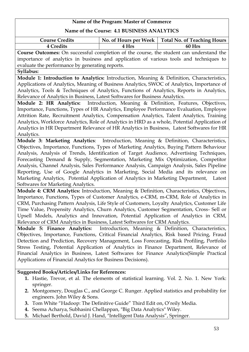### **Name of the Course: 4.1 BUSINESS ANALYTICS**

| <b>Course Credits</b>                                                                   |       | No. of Hours per Week   Total No. of Teaching Hours |
|-----------------------------------------------------------------------------------------|-------|-----------------------------------------------------|
| 4 Credits                                                                               | 4 Hrs | 60 Hrs                                              |
| Course Outcomes: On successful completion of the course, the student can understand the |       |                                                     |

importance of analytics in business and application of various tools and techniques to evaluate the performance by generating reports.

### **Syllabus:**

**Module 1: Introduction to Analytics:** Introduction, Meaning & Definition, Characteristics, Applications of Analytics, Meaning of Business Analytics, SWOC of Analytics, Importance of Analytics, Tools & Techniques of Analytics, Functions of Analytics, Reports in Analytics, Relevance of Analytics in Business, Latest Softwares for Business Analytics.

**Module 2: HR Analytics:** Introduction, Meaning & Definition, Features, Objectives, Importance, Functions, Types of HR Analytics, Employee Performance Evaluation, Employee Attrition Rate, Recruitment Analytics, Compensation Analytics, Talent Analytics, Training Analytics, Workforce Analytics, Role of Analytics in HRD as a whole, Potential Application of Analytics in HR Department Relevance of HR Analytics in Business, Latest Softwares for HR Analytics.

**Module 3: Marketing Analytics**: Introduction, Meaning & Definition, Characteristics, Objectives, Importance, Functions, Types of Marketing Analytics, Buying Pattern Behaviour Analysis, Analysis of Trends, Identification of Target Audience, Advertising Techniques, Forecasting Demand & Supply, Segmentation, Marketing Mix Optimization, Competitor Analysis, Channel Analysis, Sales Performance Analysis, Campaign Analysis, Sales Pipeline Reporting, Use of Google Analytics in Marketing, Social Media and its relevance on Marketing Analytics, Potential Application of Analytics in Marketing Department, Latest Softwares for Marketing Analytics.

**Module 4: CRM Analytics:** Introduction, Meaning & Definition, Characteristics, Objectives, Importance, Functions, Types of Customer Analytics, e-CRM, m-CRM, Role of Analytics in CRM, Purchasing Pattern Analysis, Life Style of Customers, Loyalty Analytics, Customer Life Time Value, Propensity Analytics, Churn Analytics, Customer Segmentation, Cross- Sell or Upsell Models, Analytics and Innovation, Potential Application of Analytics in CRM, Relevance of CRM Analytics in Business, Latest Softwares for CRM Analytics.

**Module 5: Finance Analytics:** Introduction, Meaning & Definition, Characteristics, Objectives, Importance, Functions, Critical Financial Analytics, Risk based Pricing, Fraud Detection and Prediction, Recovery Management, Loss Forecasting, Risk Profiling, Portfolio Stress Testing, Potential Application of Analytics in Finance Department, Relevance of Financial Analytics in Business, Latest Softwares for Finance Analytics(Simple Practical Applications of Financial Analytics for Business Decisions).

### **Suggested Books/Articles/Links for References:**

- **1.** Hastie, Trevor, et al. The elements of statistical learning. Vol. 2. No. 1. New York: springer.
- **2.** Montgomery, Douglas C., and George C. Runger. Applied statistics and probability for engineers. John Wiley & Sons.
- **3.** Tom White "Hadoop: The Definitive Guide" Third Edit on, O'reily Media.
- **4.** Seema Acharya, Subhasini Chellappan, "Big Data Analytics" Wiley.
- **5.** Michael Berthold, David J. Hand, "Intelligent Data Analysis", Springer.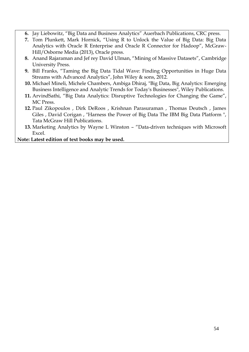- **6.** Jay Liebowitz, "Big Data and Business Analytics" Auerbach Publications, CRC press.
- **7.** Tom Plunkett, Mark Hornick, "Using R to Unlock the Value of Big Data: Big Data Analytics with Oracle R Enterprise and Oracle R Connector for Hadoop", McGraw-Hill/Osborne Media (2013), Oracle press.
- **8.** Anand Rajaraman and Jef rey David Ulman, "Mining of Massive Datasets", Cambridge University Press.
- **9.** Bill Franks, "Taming the Big Data Tidal Wave: Finding Opportunities in Huge Data Streams with Advanced Analytics", John Wiley & sons, 2012.
- **10.** Michael Mineli, Michele Chambers, Ambiga Dhiraj, "Big Data, Big Analytics: Emerging Business Intelligence and Analytic Trends for Today's Businesses", Wiley Publications.
- **11.** ArvindSathi, "Big Data Analytics: Disruptive Technologies for Changing the Game", MC Press.
- **12.** Paul Zikopoulos , Dirk DeRoos , Krishnan Parasuraman , Thomas Deutsch , James Giles , David Corigan , "Harness the Power of Big Data The IBM Big Data Platform ", Tata McGraw Hill Publications.
- **13.** Marketing Analytics by Wayne L Winston "Data-driven techniques with Microsoft Excel.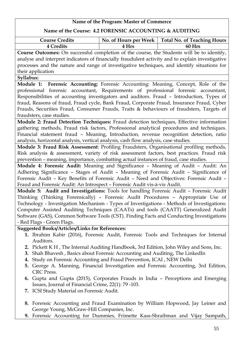### **Name of the Course: 4.2 FORENSIC ACCOUNTING & AUDITING**

| <b>Course Credits</b> |       | No. of Hours per Week   Total No. of Teaching Hours |
|-----------------------|-------|-----------------------------------------------------|
| <b>4 Credits</b>      | 4 Hrs | 60 Hrs                                              |
|                       |       |                                                     |

**Course Outcomes:** On successful completion of the course, the Students will be to identify, analyse and interpret indicators of financially fraudulent activity and to explain investigative processes and the nature and range of investigative techniques, and identify situations for their application

### **Syllabus:**

**Module 1: Forensic Accounting:** Forensic Accounting: Meaning, Concept, Role of the professional forensic accountant, Requirements of professional forensic accountant, Responsibilities of accounting investigators and auditors. Fraud – Introduction, Types of fraud, Reasons of fraud, Fraud cycle, Bank Fraud, Corporate Fraud, Insurance Fraud, Cyber Frauds, Securities Fraud, Consumer Frauds, Traits & behaviours of fraudsters, Targets of fraudsters, case studies.

**Module 2: Fraud Detection Techniques:** Fraud detection techniques, Effective information gathering methods, Fraud risk factors, Professional analytical procedures and techniques. Financial statement fraud – Meaning, Introduction, revenue recognition detection, ratio analysis, horizontal analysis, vertical analysis, cash flow analysis, case studies.

**Module 3: Fraud Risk Assessment**: Profiling Fraudsters, Organisational profiling methods, Risk analysis & assessment, variety of risk assessment factors, best practices. Fraud risk prevention – meaning, importance, combatting actual instances of fraud, case studies.

**Module 4: Forensic Audit:** Meaning and Significance – Meaning of Audit – Audit: An Adhering Significance – Stages of Audit – Meaning of Forensic Audit – Significance of Forensic Audit – Key Benefits of Forensic Audit – Need and Objectives: Forensic Audit – Fraud and Forensic Audit: An Introspect – Forensic Audit vis-à-vis Audit.

**Module 5: Audit and Investigations:** Tools for handling Forensic Audit – Forensic Audit Thinking (Thinking Forensically) – Forensic Audit Procedures – Appropriate Use of Technology - Investigation Mechanism - Types of Investigations - Methods of Investigations: Computer Assisted Auditing Techniques (CAATs) and tools (CAATT) Generalized Audit Software (GAS), Common Software Tools (CST). Finding Facts and Conducting Investigations - Red Flags - Green Flags.

### **Suggested Books/Articles/Links for References:**

- **1.** Ibrahim Kabir (2016), Forensic Audit, Forensic Tools and Techniques for Internal Auditors.
- **2.** Pickett K H , The Internal Auditing Handbook, 3rd Edition, John Wiley and Sons, Inc.
- **3.** Shah Bhavesh , Basics about Forensic Accounting and Auditing, The LinkedIn
- **4.** Study on Forensic Accounting and Fraud Prevention, ICAI , NEW Delhi
- **5.** George A. Manning, Financial Investigation and Forensic Accounting, 3rd Edition, CRC Press.
- **6.** Gupta and Gupta (2015), Corporates Frauds in India Perceptions and Emerging Issues, Journal of Financial Crime, 22(1): 79 -103.
- **7.** ICSI Study Material on Forensic Audit.
- **8.** Forensic Accounting and Fraud Examination by William Hopwood, Jay Leiner and George Young, McGraw-Hill Companies, Inc.
- **9.** Forensic Accounting for Dummies, Frimette Kass-Shraibman and Vijay Sampath,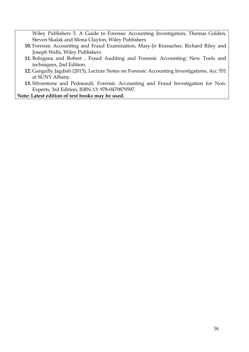Wiley Publishers 5. A Guide to Forensic Accounting Investigation, Thomas Golden, Steven Skalak and Mona Clayton, Wiley Publishers

- **10.** Forensic Accounting and Fraud Examination, Mary-Jo Kranacher, Richard Riley and Joseph Wells, Wiley Publishers
- **11.** Bologana and Robert , Fraud Auditing and Forensic Accounting: New Tools and techniques, 2nd Edition.
- **12.** Gangully Jagdish (2015), Lecture Notes on Forensic Accounting Investigations, Acc 551 at SUNY Albany.
- **13.** Silverstone and Pedneault, Forensic Accounting and Fraud Investigation for Non-Experts, 3rd Edition, ISBN-13: 978-0470879597.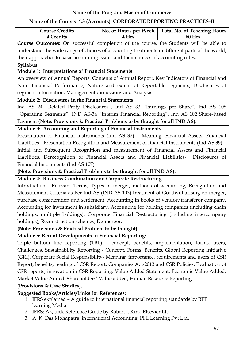### **Name of the Program: Master of Commerce Name of the Course: 4.3 (Accounts) CORPORATE REPORTING PRACTICES-II Course Credits No. of Hours per Week Total No. of Teaching Hours 4 Credits 4 Hrs 60 Hrs Course Outcomes:** On successful completion of the course, the Students will be able to understand the wide range of choices of accounting treatments in different parts of the world, their approaches to basic accounting issues and their choices of accounting rules. **Syllabus: Module 1: Interpretations of Financial Statements** An overview of Annual Reports, Contents of Annual Report, Key Indicators of Financial and Non- Financial Performance, Nature and extent of Reportable segments, Disclosures of segment information, Management discussions and Analysis. **Module 2: Disclosures in the Financial Statements** Ind AS 24 "Related Party Disclosures", Ind AS 33 "Earnings per Share", Ind AS 108 "Operating Segments", IND AS-34 "Interim Financial Reporting", Ind AS 102 Share-based Payment **(Note: Provisions & Practical Problems to be thought for all IND AS). Module 3: Accounting and Reporting of Financial Instruments** Presentation of Financial Instruments (Ind AS 32) – Meaning, Financial Assets, Financial Liabilities - Presentation Recognition and Measurement of financial Instruments (Ind AS 39) – Initial and Subsequent Recognition and measurement of Financial Assets and Financial Liabilities, Derecognition of Financial Assets and Financial Liabilities- Disclosures of Financial Instruments (Ind AS 107) **(Note: Provisions & Practical Problems to be thought for all IND AS). Module 4: Business Combination and Corporate Restructuring** Introduction- Relevant Terms, Types of merger, methods of accounting, Recognition and Measurement Criteria as Per Ind AS (IND AS 103) treatment of Goodwill arising on merger, purchase consideration and settlement; Accounting in books of vendor/transferor company, Accounting for investment in subsidiary, Accounting for holding companies (including chain holdings, multiple holdings), Corporate Financial Restructuring (including intercompany holdings), Reconstruction schemes, De-merger. **(Note: Provisions & Practical Problem to be thought) Module 5: Recent Developments in Financial Reporting:**  Triple bottom line reporting (TBL) – concept, benefits, implementation, forms, users, Challenges. Sustainability Reporting - Concept, Forms, Benefits, Global Reporting Initiative (GRI). Corporate Social Responsibility- Meaning, importance, requirements and users of CSR Report, benefits, reading of CSR Report, Companies Act-2013 and CSR Policies, Evaluation of CSR reports, innovation in CSR Reporting. Value Added Statement, Economic Value Added, Market Value Added, Shareholders' Value added, Human Resource Reporting (**Provisions & Case Studies). Suggested Books/Articles/Links for References:** 1. IFRS explained – A guide to International financial reporting standards by BPP learning Media 2. IFRS: A Quick Reference Guide by Robert J. Kirk, Elsevier Ltd. 3. A. K. Das Mohapatra, international Accounting, PHI Learning Pvt Ltd.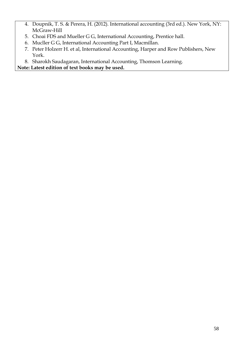- 4. Doupnik, T. S. & Perera, H. (2012). International accounting (3rd ed.). New York, NY: McGraw-Hill
- 5. Choai FDS and Mueller G G, International Accounting, Prentice hall.
- 6. Mucller G G, International Accounting Part I, Macmillan.
- 7. Peter Holzerr H. et al, International Accounting, Harper and Row Publishers, New York.
- 8. Sharokh Saudagaran, International Accounting, Thomson Learning.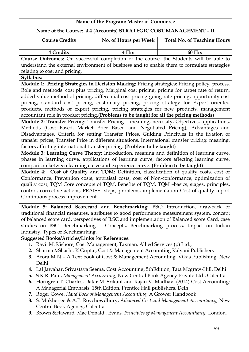### **Name of the Program: Master of Commerce Name of the Course: 4.4 (Accounts) STRATEGIC COST MANAGEMENT – II Course Credits No. of Hours per Week Total No. of Teaching Hours 4 Credits 4 Hrs 60 Hrs Course Outcomes:** On successful completion of the course, the Students will be able to understand the external environment of business and to enable them to formulate strategies relating to cost and pricing. **Syllabus: Module 1: Pricing Strategies in Decision Making:** Pricing strategies: Pricing policy, process, Role and methods: cost plus pricing, Marginal cost pricing, pricing for target rate of return, added value method of pricing, differential cost pricing going rate pricing, opportunity cost pricing, standard cost pricing, customary pricing, pricing strategy for Export oriented products, methods of export pricing, pricing strategies for new products, management accountant role in product pricing**.(Problems to be taught for all the pricing methods) Module 2: Transfer Pricing:** Transfer Pricing – meaning, necessity, Objectives, applications, Methods (Cost Based, Market Price Based and Negotiated Pricing), Advantages and Disadvantages, Criteria for setting Transfer Prices, Guiding Principles in the fixation of transfer prices, Transfer Price in different situations. International transfer pricing: meaning, factors affecting international transfer pricing. **(Problem to be taught) Module 3: Learning Curve Theory:** Introduction, meaning and definition of learning curve, phases in learning curve, applications of learning curve, factors affecting learning curve, comparison between learning curve and experience curve. **(Problem to be taught) Module 4**: **Cost of Quality and TQM:** Definition, classification of quality costs, cost of Conformance, Prevention costs, appraisal costs, cost of Non-conformance, optimization of quality cost, TQM Core concepts of TQM, Benefits of TQM. TQM –basics, stages, principles, control, corrective actions, PRAISE- steps, problems, implementation Cost of quality report Continuous process improvement. **Module 5: Balanced Scorecard and Benchmarking:** BSC: Introduction, drawback of

traditional financial measures, attributes to good performance measurement system, concept of balanced score card, perspectives of B.SC and implementation of Balanced score Card, case studies on BSC. Benchmarking – Concepts, Benchmarking process, Impact on Indian Industry, Types of Benchmarking.

### **Suggested Books/Articles/Links for References:**

- **1.** Ravi. M. Kishore, Cost Management, Taxman, Allied Services (p) Ltd.,
- **2.** Sharma &Shashi. K Gupta ; Cost & Management Accounting Kalyani Publishers
- **3.** Arora M N A Text book of Cost & Management Accounting, Vikas Publishing, New Delhi
- **4.** Lal Jawahar, Srivastava Seema. Cost Accounting, 5thEdition, Tata Mcgraw-Hill, Delhi
- **5.** S.K.R. Paul, *Management Accounting,* New Central Book Agency Private Ltd., Calcutta.
- **6.** Horngren T. Charles, Datar M. Srikant and Rajan V. Madhav. (2014) Cost Accounting: A Managerial Emphasis, 15th Edition, Prentice Hall publishers, Delh
- **7.** Roger Cowe, *Hand Book of Management Accounting,* A Grower Handbook.
- **8.** S. Mukherjee & A.P. Roychowdhury, *Advanced Cost and Management Accountancy,* New Central Book Agency, Calcutta.
- **9.** Brown &Haward, Mac Donald , Evans, *Principles of Management Accountancy,* London.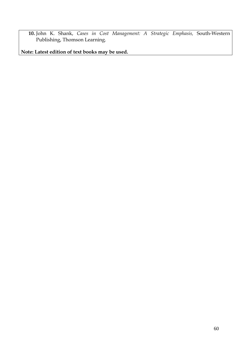**10.** John K. Shank, *Cases in Cost Management: A Strategic Emphasis,* South-Western Publishing, Thomson Learning.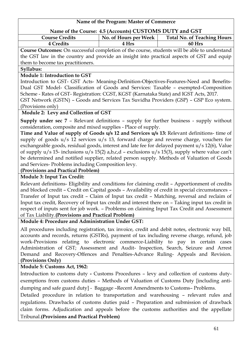# **Name of the Program: Master of Commerce Name of the Course: 4.5 (Accounts) CUSTOMS DUTY and GST**

| <b>Course Credits</b> | No. of Hours per Week | <b>Total No. of Teaching Hours</b> |
|-----------------------|-----------------------|------------------------------------|
| `redite               |                       | $\mathcal{L}$ Hrs<br>$60 -$        |
|                       |                       |                                    |

**Course Outcomes:** On successful completion of the course, students will be able to understand the GST law in the country and provide an insight into practical aspects of GST and equip them to become tax practitioners.

### **Syllabus:**

### **Module 1: Introduction to GST**

Introduction to GST- GST Acts- Meaning-Definition-Objectives-Features-Need and Benefits-Dual GST Model- Classification of Goods and Services: Taxable – exempted–Composition Scheme - Rates of GST- Registration: CGST, KGST (Karnataka State) and IGST Acts, 2017. GST Network (GSTN) – Goods and Services Tax Suvidha Providers (GSP) – GSP Eco system.

### (Provisions only)

### **Module 2: Levy and Collection of GST**

**Supply under sec 7** – Relevant definitions – supply for further business - supply without consideration, composite and mixed supplies - Place of supply.

**Time and Value of supply of Goods u/s 12 and Services u/s 13:** Relevant definitions- time of supply of goods u/s 12 services u/s 13, forward charge and reverse charge, vouchers for exchangeable goods, residual goods, interest and late fee for delayed payment u/s 12(6), Value of supply u/s 15- inclusions u/s 15(2) a,b,c,d – exclusions u/s 15(3), supply where value can't be determined and notified supplier, related person supply. Methods of Valuation of Goods and Services- Problems including Composition levy.

### **(Provisions and Practical Problem)**

### **Module 3: Input Tax Credit:**

Relevant definitions- Eligibility and conditions for claiming credit – Apportionment of credits and blocked credit – Credit on Capital goods – Availability of credit in special circumstances – Transfer of Input tax credit – Claim of Input tax credit – Matching, reversal and reclaim of Input tax credit, Recovery of Input tax credit and interest there on – Taking input tax credit in respect of inputs sent for job work. – Problems on claiming Input Tax Credit and Assessment of Tax Liability.**(Provisions and Practical Problem)**

### **Module 4: Procedure and Administration Under GST:**

All procedures including registration, tax invoice, credit and debit notes, electronic way bill, accounts and records, returns (GSTRs), payment of tax including reverse charge, refund, job work-Provisions relating to electronic commerce-Liability to pay in certain cases Administration of GST; Assessment and Audit- Inspection, Search, Seizure and Arrest Demand and Recovery-Offences and Penalties-Advance Ruling- Appeals and Revision. **(Provisions Only)**

### **Module 5: Customs Act, 1962:**

Introduction to customs duty **-** Customs Procedures – levy and collection of customs dutyexemptions from customs duties – Methods of Valuation of Customs Duty [including antidumping and safe guard duty] - Baggage –Recent Amendments to Customs– Problems.

Detailed procedure in relation to transportation and warehousing – relevant rules and regulations. Drawbacks of customs duties paid – Preparation and submission of drawback claim forms. Adjudication and appeals before the customs authorities and the appellate Tribunal.**(Provisions and Practical Problem)**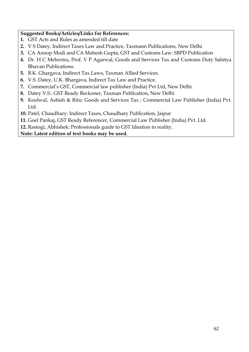### **Suggested Books/Articles/Links for References:**

- **1.** GST Acts and Rules as amended till date
- **2.** V S Datey, Indirect Taxes Law and Practice, Taxmann Publications, New Delhi
- **3.** CA Anoop Modi and CA Mahesh Gupta, GST and Customs Law: SBPD Publication
- **4.** Dr. H C Mehrotra, Prof. V P Agarwal, Goods and Services Tax and Customs Duty Sahitya Bhavan Publications.
- **5.** B.K. Ghargava, Indirect Tax Laws, Taxman Allied Services.
- **6.** V.S. Datey, U.K. Bhargava, Indirect Tax Law and Practice.
- **7.** Commercial's GST, Commercial law publisher (India) Pvt Ltd, New Delhi.
- **8.** Datey V.S.: GST Ready Reckoner, Taxman Publication, New Delhi
- **9.** Koolwal, Ashish & Ritu: Goods and Services Tax ; Commercial Law Publisher (India) Pvt. Ltd.
- **10.** Patel, Chaudhary: Indirect Taxes, Chaudhary Publication, Jaipur
- **11.** Goel Pankaj, GST Ready Referencer, Commercial Law Publisher (India) Pvt. Ltd.
- **12.** Rastogi, Abhishek: Professionals guide to GST Ideation to reality.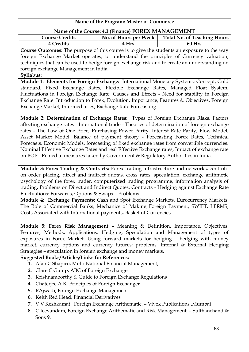| Name of the Program: Master of Commerce                                                        |                       |                                                                                    |  |  |
|------------------------------------------------------------------------------------------------|-----------------------|------------------------------------------------------------------------------------|--|--|
| Name of the Course: 4.3 (Finance) FOREX MANAGEMENT                                             |                       |                                                                                    |  |  |
| <b>Course Credits</b>                                                                          | No. of Hours per Week | <b>Total No. of Teaching Hours</b>                                                 |  |  |
| 4 Credits                                                                                      | 4 Hrs                 | 60 Hrs                                                                             |  |  |
| Course Outcomes: The purpose of this course is to give the students an exposure to the way     |                       |                                                                                    |  |  |
| foreign Exchange Market operates, to understand the principles of Currency valuation,          |                       |                                                                                    |  |  |
| techniques that can be used to hedge foreign exchange risk and to create an understanding on   |                       |                                                                                    |  |  |
| foreign exchange Management in India.                                                          |                       |                                                                                    |  |  |
| Syllabus:                                                                                      |                       |                                                                                    |  |  |
| Module 1: Elements for Foreign Exchange: International Monetary Systems: Concept, Gold         |                       |                                                                                    |  |  |
| standard, Fixed Exchange Rates, Flexible Exchange Rates, Managed Float System,                 |                       |                                                                                    |  |  |
| Fluctuations in Foreign Exchange Rate: Causes and Effects - Need for stability in Foreign      |                       |                                                                                    |  |  |
| Exchange Rate. Introduction to Forex, Evolution, Importance, Features & Objectives, Foreign    |                       |                                                                                    |  |  |
| Exchange Market, Intermediaries, Exchange Rate Forecasting.                                    |                       |                                                                                    |  |  |
| Module 2: Determination of Exchange Rates: Types of Foreign Exchange Risks, Factors            |                       |                                                                                    |  |  |
| affecting exchange rates - International trade - Theories of determination of foreign exchange |                       |                                                                                    |  |  |
| rates - The Law of One Price, Purchasing Power Parity, Interest Rate Parity, Flow Model,       |                       |                                                                                    |  |  |
| Asset Market Model. Balance of payment theory - Forecasting Forex Rates, Technical             |                       |                                                                                    |  |  |
| Forecasts, Economic Models, forecasting of fixed exchange rates from convertible currencies.   |                       |                                                                                    |  |  |
| Nominal Effective Exchange Rates and real Effective Exchange rates, Impact of exchange rate    |                       |                                                                                    |  |  |
| on BOP - Remedial measures taken by Government & Regulatory Authorities in India.              |                       |                                                                                    |  |  |
|                                                                                                |                       |                                                                                    |  |  |
| Module 3: Forex Trading & Contracts: Forex trading infrastructure and networks, control's      |                       |                                                                                    |  |  |
| on order placing, direct and indirect quotas, cross rates, speculation, exchange arithmetic    |                       |                                                                                    |  |  |
| psychology of the forex trader, computerized trading programme, information analysis of        |                       |                                                                                    |  |  |
| trading, Problems on Direct and Indirect Quotes. Contracts - Hedging against Exchange Rate     |                       |                                                                                    |  |  |
| Fluctuations: Forwards, Options & Swaps - Problems.                                            |                       |                                                                                    |  |  |
| Module 4: Exchange Payments: Cash and Spot Exchange Markets, Eurocurrency Markets,             |                       |                                                                                    |  |  |
| The Role of Commercial Banks, Mechanics of Making Foreign Payment, SWIFT, LERMS,               |                       |                                                                                    |  |  |
| Costs Associated with International payments, Basket of Currencies.                            |                       |                                                                                    |  |  |
|                                                                                                |                       |                                                                                    |  |  |
| Module 5: Forex Risk Management - Meaning & Definition, Importance, Objectives,                |                       |                                                                                    |  |  |
| Features, Methods, Applications. Hedging, Speculation and Management of types of               |                       |                                                                                    |  |  |
| exposures in Forex Market. Using forward markets for hedging - hedging with money              |                       |                                                                                    |  |  |
| market, currency options and currency futures: problems. Internal & External Hedging           |                       |                                                                                    |  |  |
| Strategies - speculation in foreign exchange and money markets.                                |                       |                                                                                    |  |  |
| <b>Suggested Books/Articles/Links for References:</b>                                          |                       |                                                                                    |  |  |
| 1. Alan C Shapiro, Multi National Financial Management,                                        |                       |                                                                                    |  |  |
| 2. Clare C Gump, ABC of Foreign Exchange                                                       |                       |                                                                                    |  |  |
| 3. Krishnamoorthy S, Guide to Foreign Exchange Regulations                                     |                       |                                                                                    |  |  |
| Chaterjee A K, Principles of Foreign Exchanger<br>4.                                           |                       |                                                                                    |  |  |
| RAjwadi, Foreign Exchange Management<br>5.                                                     |                       |                                                                                    |  |  |
| 6. Keith Red Head, Financial Derivatives                                                       |                       |                                                                                    |  |  |
| 7. V V Keshkamat, Foreign Exchange Arithematic, - Vivek Publications, Mumbai                   |                       |                                                                                    |  |  |
|                                                                                                |                       | 8. C Jeevandam, Foreign Exchange Arithematic and Risk Management, - Sulthanchand & |  |  |
| Sons 9.                                                                                        |                       |                                                                                    |  |  |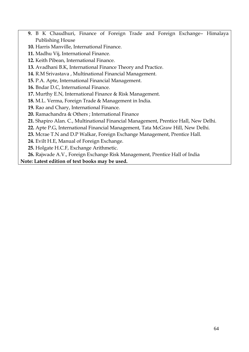- **9.** B K Chaudhuri, Finance of Foreign Trade and Foreign Exchange– Himalaya Publishing House
- **10.** Harris Manville, International Finance.
- **11.** Madhu Vij, International Finance.
- **12.** Keith Pibean, International Finance.
- **13.** Avadhani B.K, International Finance Theory and Practice.
- **14.** R.M Srivastava , Multinational Financial Management.
- **15.** P.A. Apte, International Financial Management.
- **16.** Bndar D.C, International Finance.
- **17.** Murthy E.N, International Finance & Risk Management.
- **18.** M.L. Verma, Foreign Trade & Management in India.
- **19.** Rao and Chary, International Finance.
- **20.** Ramachandra & Others ; International Finance
- **21.** Shapiro Alan. C., Multinational Financial Management, Prentice Hall, New Delhi.
- **22.** Apte P.G, International Financial Management, Tata McGraw Hill, New Delhi.
- **23.** Mcrae T.N and D.P Walkar, Foreign Exchange Management, Prentice Hall.
- **24.** Evilt H.E, Manual of Foreign Exchange.
- **25.** Holgate H.C.F, Exchange Arithmetic.

**26.** Rajwade A.V., Foreign Exchange Risk Management, Prentice Hall of India **Note: Latest edition of text books may be used.**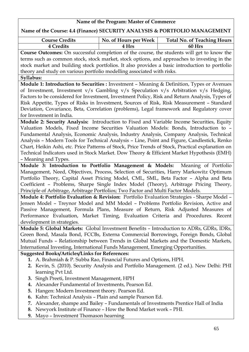### **Name of the Course: 4.4 (Finance) SECURITY ANALYSIS & PORTFOLIO MANAGEMENT**

| <b>Course Credits</b> | No. of Hours per Week | <b>Total No. of Teaching Hours</b> |
|-----------------------|-----------------------|------------------------------------|
| <b>4 Credits</b>      | 4 Hrs                 | 60 Hrs                             |

**Course Outcomes:** On successful completion of the course, the students will get to know the terms such as common stock, stock market, stock options, and approaches to investing in the stock market and building stock portfolios. It also provides a basic introduction to portfolio theory and study on various portfolio modelling associated with risks.

#### **Syllabus:**

**Module 1: Introduction to Securities :** Investment – Meaning & Definition, Types or Avenues of Investment, Investment v/s Gambling v/s Speculation v/s Arbitration v/s Hedging, Factors to be considered for Investment, Investment Policy, Risk and Return Analysis, Types of Risk Appetite, Types of Risks in Investment, Sources of Risk, Risk Measurement – Standard Deviation, Covariance, Beta, Correlation (problems), Legal framework and Regulatory cover for Investment in India.

**Module 2: Security Analysis:** Introduction to Fixed and Variable Income Securities, Equity Valuation Models, Fixed Income Securities Valuation Models: Bonds, Introduction to – Fundamental Analysis, Economic Analysis, Industry Analysis, Company Analysis, Technical Analysis – Modern Tools for Technical Analysis – Line, Point and Figure, Candlestick, Renko Chart, Heikin Ashi, etc. Price Patterns of Stock, Price Trends of Stock, Practical explanation on Technical Indicators used in Stock Market. Dow Theory & Efficient Market Hypothesis (EMH) – Meaning and Types.

**Module 3: Introduction to Portfolio Management & Models:** Meaning of Portfolio Management, Need, Objectives, Process, Selection of Securities, Harry Markowitz Optimum Portfolio Theory, Capital Asset Pricing Model, CML, SML, Beta Factor – Alpha and Beta Coefficient – Problems, Sharpe Single Index Model (Theory), Arbitrage Pricing Theory, Principle of Arbitrage, Arbitrage Portfolios; Two Factor and Multi Factor Models.

**Module 4: Portfolio Evaluation & Revision:** Portfolio Evaluation Strategies - Sharpe Model – Jensen Model – Treynor Model and MM Model – Problems Portfolio Revision, Active and Passive Management, Formula Plans, Measure of Return, Risk Adjusted Measures of Performance Evaluation, Market Timing, Evaluation Criteria and Procedures. Recent development in strategies.

**Module 5: Global Markets:** Global Investment Benefits – Introduction to ADRs, GDRs, IDRs, Green Bond, Masala Bond, FCCBs, Externa Commercial Borrowings, Foreign Bonds, Global Mutual Funds – Relationship between Trends in Global Markets and the Domestic Markets, International Investing, International Funds Management, Emerging Opportunities.

### **Suggested Books/Articles/Links for References:**

- **1.** A. Brahmiah & P. Subba Rao, Financial Futures and Options, HPH.
- **2.** Kevin, S. (2010). Security Analysis and Portfolio Management. (2 ed.). New Delhi: PHI learning Pvt Ltd.
- **3.** Singh Preeti, Investment Management, HPH
- **4.** Alexander Fundamental of Investments, Pearson Ed.
- **5.** Hangen: Modern Investment theory. Pearson Ed.
- **6.** Kahn: Technical Analysis Plain and sample Pearson Ed.
- **7.** Alexander, shampe and Bailey Fundamentals of Investments Prentice Hall of India
- **8.** Newyork Institute of Finance How the Bond Market work PHI.
- **9.** Mayo Investment Thomason hearning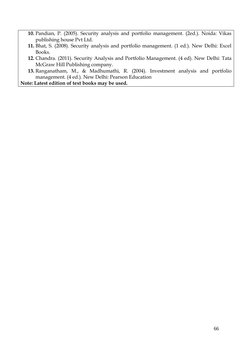- **10.** Pandian, P. (2005). Security analysis and portfolio management. (2ed.). Noida: Vikas publishing house Pvt Ltd.
- **11.** Bhat, S. (2008). Security analysis and portfolio management. (1 ed.). New Delhi: Excel Books.
- **12.** Chandra. (2011). Security Analysis and Portfolio Management. (4 ed). New Delhi: Tata McGraw Hill Publishing company.
- **13.** Ranganatham, M., & Madhumathi, R. (2004). Investment analysis and portfolio management. (4 ed.). New Delhi: Pearson Education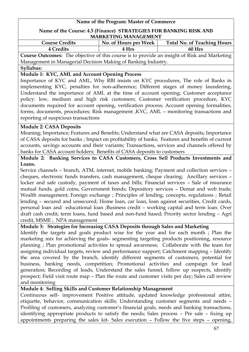### **Name of the Course: 4.5 (Finance) STRATEGIES FOR BANKING RISK AND MARKETING MANAGEMENT**

| <b>Course Credits</b> | No. of Hours per Week | <b>Total No. of Teaching Hours</b> |
|-----------------------|-----------------------|------------------------------------|
| <b>Credits</b>        | 4 Hrs                 | 60 Hrs                             |

**Course Outcomes:** The objective of this course is to provide an insight of Risk and Marketing Management in Managerial Decision Making of Banking Industry.

#### **Syllabus:**

### **Module 1: KYC, AML and Account Opening Process**

Importance of KYC and AML, Why RBI insists on KYC procedures, The role of Banks in implementing KYC, penalties for non-adherence; Different stages of money laundering, Understand the importance of AML at the time of account opening; Customer acceptance policy: low, medium and high risk customers; Customer verification procedure, KYC documents required for account opening, verification process; Account opening formalities, forms, documents, procedures; Risk management ,KYC, AML – monitoring transactions and reporting of suspicious transactions

### **Module 2: CASA Deposits**

Meaning; Importance; Features and Benefits; Understand what are CASA deposits; Importance of CASA deposits for banks ; Impact on profitability of banks; Features and benefits of current accounts, savings accounts and their variants; Transactions, services and channels offered by banks for CASA account holders; Benefits of CASA deposits to customers

### **Module 2: Banking Services to CASA Customers, Cross Sell Products Investments and Loans.**

Service channels – branch, ATM, internet, mobile banking; Payment and collection services – cheques, electronic funds transfers, cash management, cheque clearing; Ancillary services – locker and safe custody, payment of taxes and bills; Financial services – Sale of insurance mutual funds, gold coins, Government bonds; Depository services – Demat and web trade; Wealth management; Foreign exchange ; Principles of lending, concepts, regulations ; Retail lending – secured and unsecured; Home loan, car loan, loan against securities, Credit cards, personal loan and educational loan ;Business credit – working capital and term loan. Over draft cash credit, term loans, fund based and non-fund based; Priority sector lending – Agri credit, MSME ; NPA management

### **Module 3: Strategies for Increasing CASA Deposits through Sales and Marketing**

Identify the targets and goals product wise for the year and for each month ; Plan the marketing mix for achieving the goals- segmenting targeting products positioning, resource planning ; Plan promotional activities to spread awareness; Collaborate with the team for assigning individual targets, review and performance support; Catchment mapping – Identify the area covered by the branch, identify different segments of customers, potential for business, banking needs, competition; Promotional activities and campaign for lead generation; Recording of leads, Understand the sales funnel, follow up suspects, identify prospect; Field visit route map – Plan the route and customer visits per day; Sales call review and monitoring

### **Module 4: Selling Skills and Customer Relationship Management**

Continuous self- improvement Positive attitude, updated knowledge professional attire, etiquette, behavior, communication skills; Understanding customer segments and needs – Profiling of customers, analyzing customer's financial goals, needs and banking transactions, identifying appropriate products to satisfy the needs; Sales process – Pre sale – fixing up appointments preparing the sales kit- Sales execution – Follow the five steps – opening,